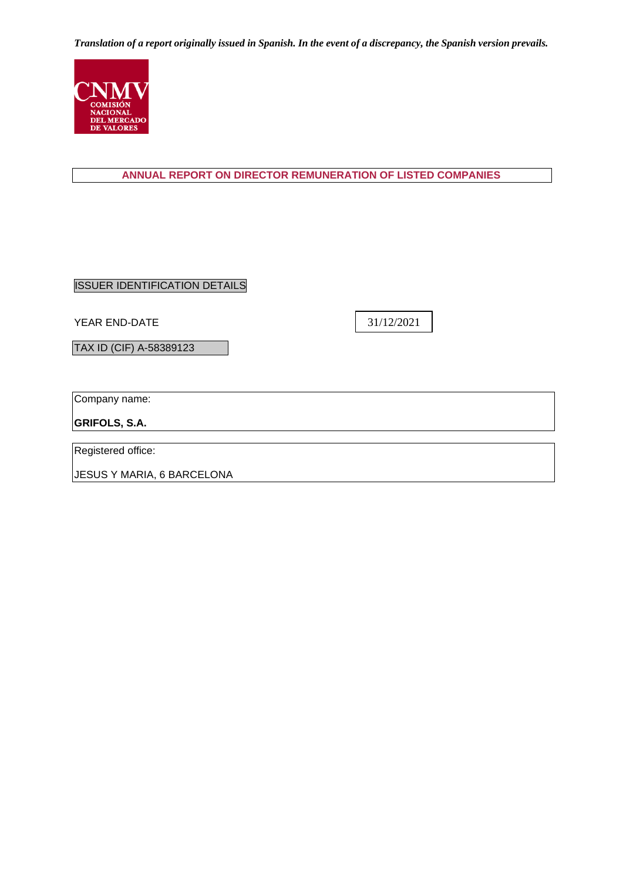

## **ANNUAL REPORT ON DIRECTOR REMUNERATION OF LISTED COMPANIES**

ISSUER IDENTIFICATION DETAILS

YEAR END-DATE

31/12/2021

TAX ID (CIF) A-58389123

Company name:

**GRIFOLS, S.A.**

Registered office:

JESUS Y MARIA, 6 BARCELONA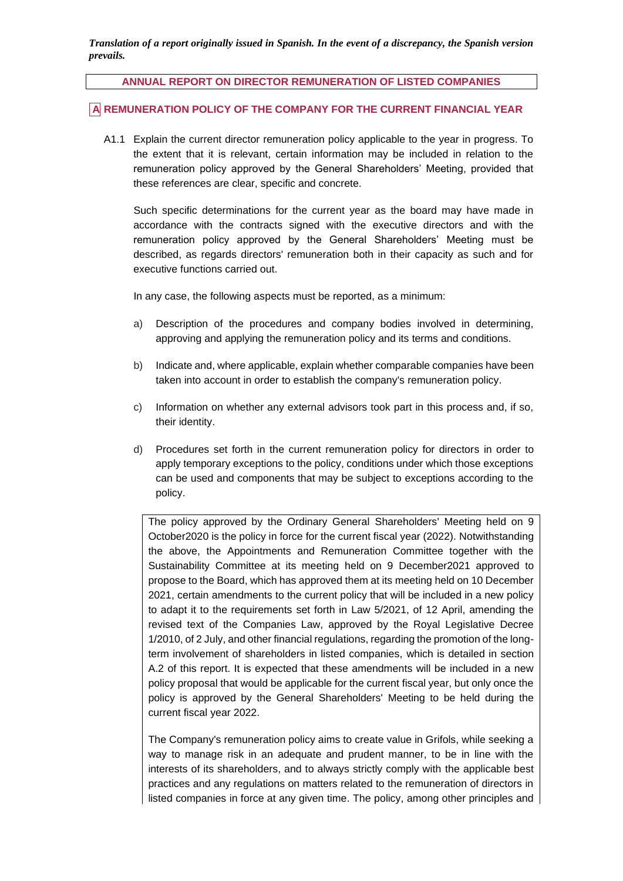#### **ANNUAL REPORT ON DIRECTOR REMUNERATION OF LISTED COMPANIES**

### **A REMUNERATION POLICY OF THE COMPANY FOR THE CURRENT FINANCIAL YEAR**

A1.1 Explain the current director remuneration policy applicable to the year in progress. To the extent that it is relevant, certain information may be included in relation to the remuneration policy approved by the General Shareholders' Meeting, provided that these references are clear, specific and concrete.

Such specific determinations for the current year as the board may have made in accordance with the contracts signed with the executive directors and with the remuneration policy approved by the General Shareholders' Meeting must be described, as regards directors' remuneration both in their capacity as such and for executive functions carried out.

In any case, the following aspects must be reported, as a minimum:

- a) Description of the procedures and company bodies involved in determining, approving and applying the remuneration policy and its terms and conditions.
- b) Indicate and, where applicable, explain whether comparable companies have been taken into account in order to establish the company's remuneration policy.
- c) Information on whether any external advisors took part in this process and, if so, their identity.
- d) Procedures set forth in the current remuneration policy for directors in order to apply temporary exceptions to the policy, conditions under which those exceptions can be used and components that may be subject to exceptions according to the policy.

The policy approved by the Ordinary General Shareholders' Meeting held on 9 October2020 is the policy in force for the current fiscal year (2022). Notwithstanding the above, the Appointments and Remuneration Committee together with the Sustainability Committee at its meeting held on 9 December2021 approved to propose to the Board, which has approved them at its meeting held on 10 December 2021, certain amendments to the current policy that will be included in a new policy to adapt it to the requirements set forth in Law 5/2021, of 12 April, amending the revised text of the Companies Law, approved by the Royal Legislative Decree 1/2010, of 2 July, and other financial regulations, regarding the promotion of the longterm involvement of shareholders in listed companies, which is detailed in section A.2 of this report. It is expected that these amendments will be included in a new policy proposal that would be applicable for the current fiscal year, but only once the policy is approved by the General Shareholders' Meeting to be held during the current fiscal year 2022.

The Company's remuneration policy aims to create value in Grifols, while seeking a way to manage risk in an adequate and prudent manner, to be in line with the interests of its shareholders, and to always strictly comply with the applicable best practices and any regulations on matters related to the remuneration of directors in listed companies in force at any given time. The policy, among other principles and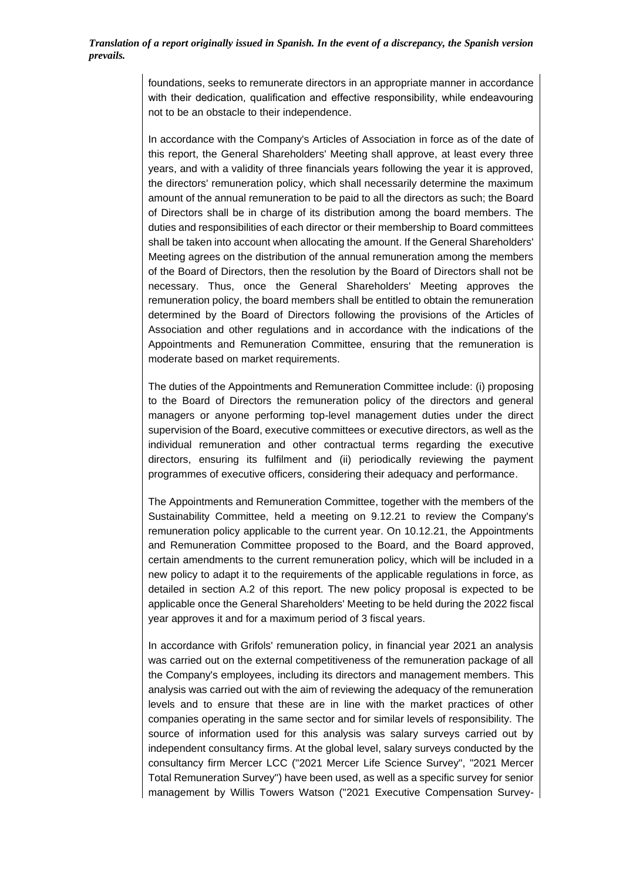foundations, seeks to remunerate directors in an appropriate manner in accordance with their dedication, qualification and effective responsibility, while endeavouring not to be an obstacle to their independence.

In accordance with the Company's Articles of Association in force as of the date of this report, the General Shareholders' Meeting shall approve, at least every three years, and with a validity of three financials years following the year it is approved, the directors' remuneration policy, which shall necessarily determine the maximum amount of the annual remuneration to be paid to all the directors as such; the Board of Directors shall be in charge of its distribution among the board members. The duties and responsibilities of each director or their membership to Board committees shall be taken into account when allocating the amount. If the General Shareholders' Meeting agrees on the distribution of the annual remuneration among the members of the Board of Directors, then the resolution by the Board of Directors shall not be necessary. Thus, once the General Shareholders' Meeting approves the remuneration policy, the board members shall be entitled to obtain the remuneration determined by the Board of Directors following the provisions of the Articles of Association and other regulations and in accordance with the indications of the Appointments and Remuneration Committee, ensuring that the remuneration is moderate based on market requirements.

The duties of the Appointments and Remuneration Committee include: (i) proposing to the Board of Directors the remuneration policy of the directors and general managers or anyone performing top-level management duties under the direct supervision of the Board, executive committees or executive directors, as well as the individual remuneration and other contractual terms regarding the executive directors, ensuring its fulfilment and (ii) periodically reviewing the payment programmes of executive officers, considering their adequacy and performance.

The Appointments and Remuneration Committee, together with the members of the Sustainability Committee, held a meeting on 9.12.21 to review the Company's remuneration policy applicable to the current year. On 10.12.21, the Appointments and Remuneration Committee proposed to the Board, and the Board approved, certain amendments to the current remuneration policy, which will be included in a new policy to adapt it to the requirements of the applicable regulations in force, as detailed in section A.2 of this report. The new policy proposal is expected to be applicable once the General Shareholders' Meeting to be held during the 2022 fiscal year approves it and for a maximum period of 3 fiscal years.

In accordance with Grifols' remuneration policy, in financial year 2021 an analysis was carried out on the external competitiveness of the remuneration package of all the Company's employees, including its directors and management members. This analysis was carried out with the aim of reviewing the adequacy of the remuneration levels and to ensure that these are in line with the market practices of other companies operating in the same sector and for similar levels of responsibility. The source of information used for this analysis was salary surveys carried out by independent consultancy firms. At the global level, salary surveys conducted by the consultancy firm Mercer LCC ("2021 Mercer Life Science Survey", "2021 Mercer Total Remuneration Survey") have been used, as well as a specific survey for senior management by Willis Towers Watson ("2021 Executive Compensation Survey-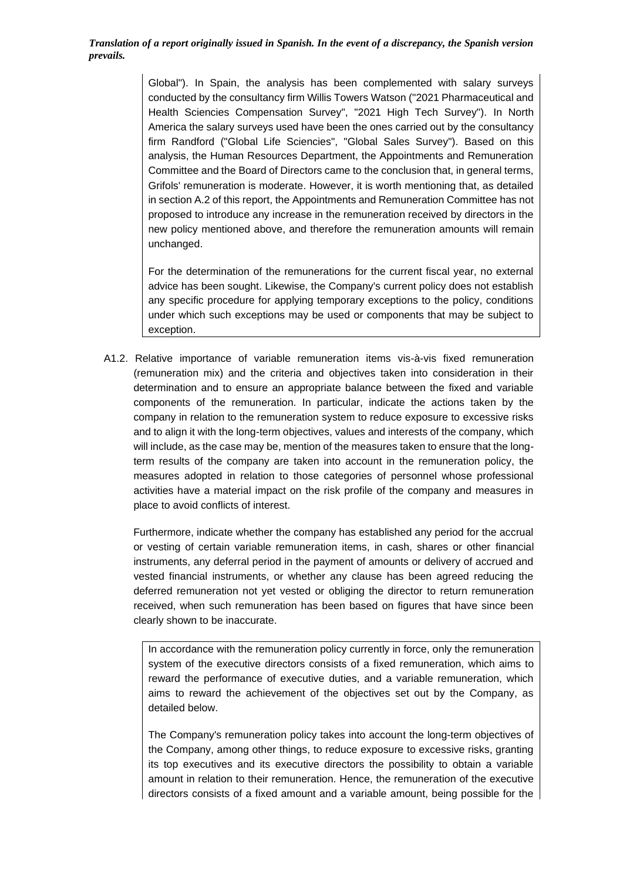> Global"). In Spain, the analysis has been complemented with salary surveys conducted by the consultancy firm Willis Towers Watson ("2021 Pharmaceutical and Health Sciencies Compensation Survey", "2021 High Tech Survey"). In North America the salary surveys used have been the ones carried out by the consultancy firm Randford ("Global Life Sciencies", "Global Sales Survey"). Based on this analysis, the Human Resources Department, the Appointments and Remuneration Committee and the Board of Directors came to the conclusion that, in general terms, Grifols' remuneration is moderate. However, it is worth mentioning that, as detailed in section A.2 of this report, the Appointments and Remuneration Committee has not proposed to introduce any increase in the remuneration received by directors in the new policy mentioned above, and therefore the remuneration amounts will remain unchanged.

> For the determination of the remunerations for the current fiscal year, no external advice has been sought. Likewise, the Company's current policy does not establish any specific procedure for applying temporary exceptions to the policy, conditions under which such exceptions may be used or components that may be subject to exception.

A1.2. Relative importance of variable remuneration items vis-à-vis fixed remuneration (remuneration mix) and the criteria and objectives taken into consideration in their determination and to ensure an appropriate balance between the fixed and variable components of the remuneration. In particular, indicate the actions taken by the company in relation to the remuneration system to reduce exposure to excessive risks and to align it with the long-term objectives, values and interests of the company, which will include, as the case may be, mention of the measures taken to ensure that the longterm results of the company are taken into account in the remuneration policy, the measures adopted in relation to those categories of personnel whose professional activities have a material impact on the risk profile of the company and measures in place to avoid conflicts of interest.

Furthermore, indicate whether the company has established any period for the accrual or vesting of certain variable remuneration items, in cash, shares or other financial instruments, any deferral period in the payment of amounts or delivery of accrued and vested financial instruments, or whether any clause has been agreed reducing the deferred remuneration not yet vested or obliging the director to return remuneration received, when such remuneration has been based on figures that have since been clearly shown to be inaccurate.

In accordance with the remuneration policy currently in force, only the remuneration system of the executive directors consists of a fixed remuneration, which aims to reward the performance of executive duties, and a variable remuneration, which aims to reward the achievement of the objectives set out by the Company, as detailed below.

The Company's remuneration policy takes into account the long-term objectives of the Company, among other things, to reduce exposure to excessive risks, granting its top executives and its executive directors the possibility to obtain a variable amount in relation to their remuneration. Hence, the remuneration of the executive directors consists of a fixed amount and a variable amount, being possible for the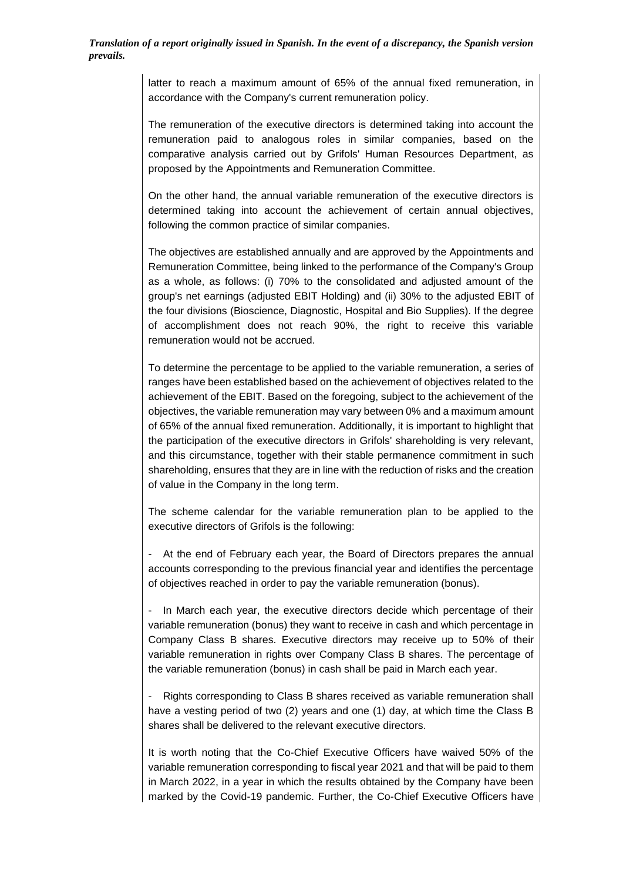> latter to reach a maximum amount of 65% of the annual fixed remuneration, in accordance with the Company's current remuneration policy.

> The remuneration of the executive directors is determined taking into account the remuneration paid to analogous roles in similar companies, based on the comparative analysis carried out by Grifols' Human Resources Department, as proposed by the Appointments and Remuneration Committee.

> On the other hand, the annual variable remuneration of the executive directors is determined taking into account the achievement of certain annual objectives, following the common practice of similar companies.

> The objectives are established annually and are approved by the Appointments and Remuneration Committee, being linked to the performance of the Company's Group as a whole, as follows: (i) 70% to the consolidated and adjusted amount of the group's net earnings (adjusted EBIT Holding) and (ii) 30% to the adjusted EBIT of the four divisions (Bioscience, Diagnostic, Hospital and Bio Supplies). If the degree of accomplishment does not reach 90%, the right to receive this variable remuneration would not be accrued.

> To determine the percentage to be applied to the variable remuneration, a series of ranges have been established based on the achievement of objectives related to the achievement of the EBIT. Based on the foregoing, subject to the achievement of the objectives, the variable remuneration may vary between 0% and a maximum amount of 65% of the annual fixed remuneration. Additionally, it is important to highlight that the participation of the executive directors in Grifols' shareholding is very relevant, and this circumstance, together with their stable permanence commitment in such shareholding, ensures that they are in line with the reduction of risks and the creation of value in the Company in the long term.

> The scheme calendar for the variable remuneration plan to be applied to the executive directors of Grifols is the following:

> - At the end of February each year, the Board of Directors prepares the annual accounts corresponding to the previous financial year and identifies the percentage of objectives reached in order to pay the variable remuneration (bonus).

> - In March each year, the executive directors decide which percentage of their variable remuneration (bonus) they want to receive in cash and which percentage in Company Class B shares. Executive directors may receive up to 50% of their variable remuneration in rights over Company Class B shares. The percentage of the variable remuneration (bonus) in cash shall be paid in March each year.

> - Rights corresponding to Class B shares received as variable remuneration shall have a vesting period of two (2) years and one (1) day, at which time the Class B shares shall be delivered to the relevant executive directors.

> It is worth noting that the Co-Chief Executive Officers have waived 50% of the variable remuneration corresponding to fiscal year 2021 and that will be paid to them in March 2022, in a year in which the results obtained by the Company have been marked by the Covid-19 pandemic. Further, the Co-Chief Executive Officers have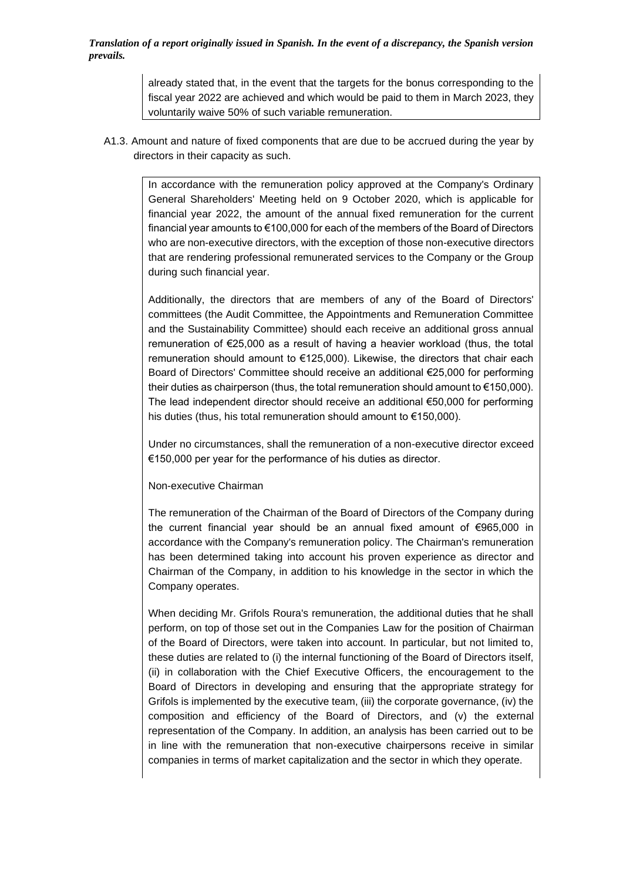> already stated that, in the event that the targets for the bonus corresponding to the fiscal year 2022 are achieved and which would be paid to them in March 2023, they voluntarily waive 50% of such variable remuneration.

A1.3. Amount and nature of fixed components that are due to be accrued during the year by directors in their capacity as such.

> In accordance with the remuneration policy approved at the Company's Ordinary General Shareholders' Meeting held on 9 October 2020, which is applicable for financial year 2022, the amount of the annual fixed remuneration for the current financial year amounts to €100,000 for each of the members of the Board of Directors who are non-executive directors, with the exception of those non-executive directors that are rendering professional remunerated services to the Company or the Group during such financial year.

> Additionally, the directors that are members of any of the Board of Directors' committees (the Audit Committee, the Appointments and Remuneration Committee and the Sustainability Committee) should each receive an additional gross annual remuneration of €25,000 as a result of having a heavier workload (thus, the total remuneration should amount to €125,000). Likewise, the directors that chair each Board of Directors' Committee should receive an additional €25,000 for performing their duties as chairperson (thus, the total remuneration should amount to €150,000). The lead independent director should receive an additional  $€50,000$  for performing his duties (thus, his total remuneration should amount to €150,000).

> Under no circumstances, shall the remuneration of a non-executive director exceed €150,000 per year for the performance of his duties as director.

#### Non-executive Chairman

The remuneration of the Chairman of the Board of Directors of the Company during the current financial year should be an annual fixed amount of €965,000 in accordance with the Company's remuneration policy. The Chairman's remuneration has been determined taking into account his proven experience as director and Chairman of the Company, in addition to his knowledge in the sector in which the Company operates.

When deciding Mr. Grifols Roura's remuneration, the additional duties that he shall perform, on top of those set out in the Companies Law for the position of Chairman of the Board of Directors, were taken into account. In particular, but not limited to, these duties are related to (i) the internal functioning of the Board of Directors itself, (ii) in collaboration with the Chief Executive Officers, the encouragement to the Board of Directors in developing and ensuring that the appropriate strategy for Grifols is implemented by the executive team, (iii) the corporate governance, (iv) the composition and efficiency of the Board of Directors, and (v) the external representation of the Company. In addition, an analysis has been carried out to be in line with the remuneration that non-executive chairpersons receive in similar companies in terms of market capitalization and the sector in which they operate.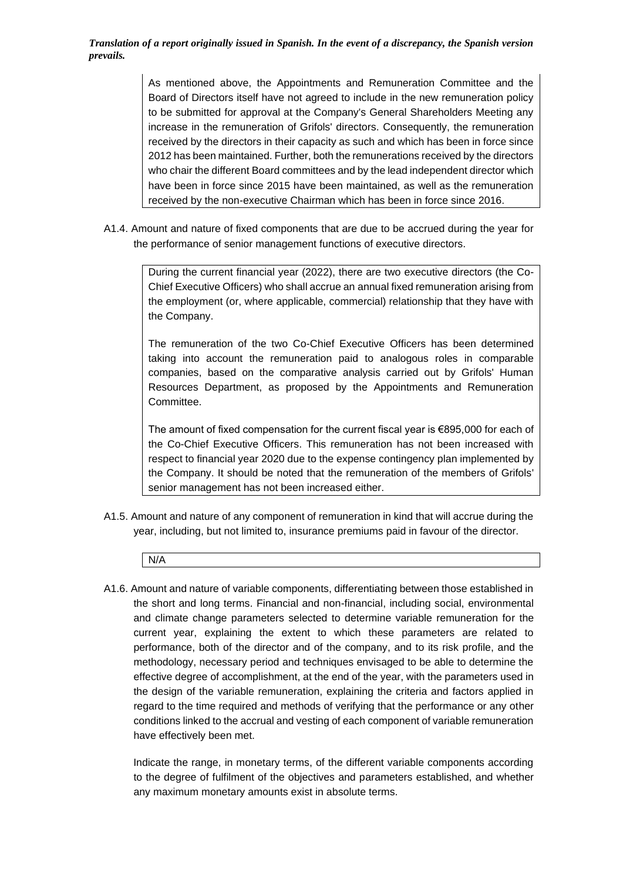> As mentioned above, the Appointments and Remuneration Committee and the Board of Directors itself have not agreed to include in the new remuneration policy to be submitted for approval at the Company's General Shareholders Meeting any increase in the remuneration of Grifols' directors. Consequently, the remuneration received by the directors in their capacity as such and which has been in force since 2012 has been maintained. Further, both the remunerations received by the directors who chair the different Board committees and by the lead independent director which have been in force since 2015 have been maintained, as well as the remuneration received by the non-executive Chairman which has been in force since 2016.

A1.4. Amount and nature of fixed components that are due to be accrued during the year for the performance of senior management functions of executive directors.

> During the current financial year (2022), there are two executive directors (the Co-Chief Executive Officers) who shall accrue an annual fixed remuneration arising from the employment (or, where applicable, commercial) relationship that they have with the Company.

> The remuneration of the two Co-Chief Executive Officers has been determined taking into account the remuneration paid to analogous roles in comparable companies, based on the comparative analysis carried out by Grifols' Human Resources Department, as proposed by the Appointments and Remuneration Committee.

> The amount of fixed compensation for the current fiscal year is €895,000 for each of the Co-Chief Executive Officers. This remuneration has not been increased with respect to financial year 2020 due to the expense contingency plan implemented by the Company. It should be noted that the remuneration of the members of Grifols' senior management has not been increased either.

- A1.5. Amount and nature of any component of remuneration in kind that will accrue during the year, including, but not limited to, insurance premiums paid in favour of the director.
	- N/A
- A1.6. Amount and nature of variable components, differentiating between those established in the short and long terms. Financial and non-financial, including social, environmental and climate change parameters selected to determine variable remuneration for the current year, explaining the extent to which these parameters are related to performance, both of the director and of the company, and to its risk profile, and the methodology, necessary period and techniques envisaged to be able to determine the effective degree of accomplishment, at the end of the year, with the parameters used in the design of the variable remuneration, explaining the criteria and factors applied in regard to the time required and methods of verifying that the performance or any other conditions linked to the accrual and vesting of each component of variable remuneration have effectively been met.

Indicate the range, in monetary terms, of the different variable components according to the degree of fulfilment of the objectives and parameters established, and whether any maximum monetary amounts exist in absolute terms.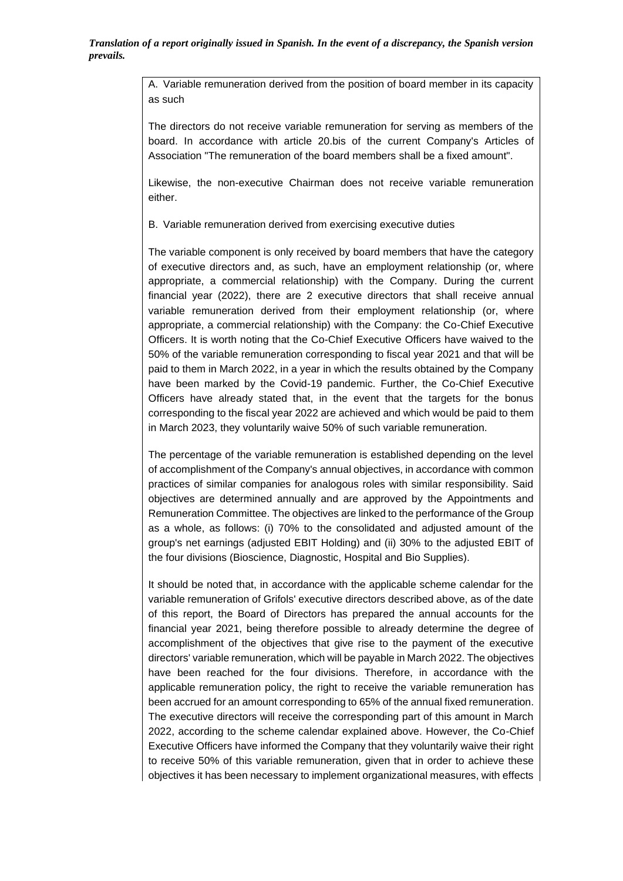A. Variable remuneration derived from the position of board member in its capacity as such

The directors do not receive variable remuneration for serving as members of the board. In accordance with article 20.bis of the current Company's Articles of Association "The remuneration of the board members shall be a fixed amount".

Likewise, the non-executive Chairman does not receive variable remuneration either.

B. Variable remuneration derived from exercising executive duties

The variable component is only received by board members that have the category of executive directors and, as such, have an employment relationship (or, where appropriate, a commercial relationship) with the Company. During the current financial year (2022), there are 2 executive directors that shall receive annual variable remuneration derived from their employment relationship (or, where appropriate, a commercial relationship) with the Company: the Co-Chief Executive Officers. It is worth noting that the Co-Chief Executive Officers have waived to the 50% of the variable remuneration corresponding to fiscal year 2021 and that will be paid to them in March 2022, in a year in which the results obtained by the Company have been marked by the Covid-19 pandemic. Further, the Co-Chief Executive Officers have already stated that, in the event that the targets for the bonus corresponding to the fiscal year 2022 are achieved and which would be paid to them in March 2023, they voluntarily waive 50% of such variable remuneration.

The percentage of the variable remuneration is established depending on the level of accomplishment of the Company's annual objectives, in accordance with common practices of similar companies for analogous roles with similar responsibility. Said objectives are determined annually and are approved by the Appointments and Remuneration Committee. The objectives are linked to the performance of the Group as a whole, as follows: (i) 70% to the consolidated and adjusted amount of the group's net earnings (adjusted EBIT Holding) and (ii) 30% to the adjusted EBIT of the four divisions (Bioscience, Diagnostic, Hospital and Bio Supplies).

It should be noted that, in accordance with the applicable scheme calendar for the variable remuneration of Grifols' executive directors described above, as of the date of this report, the Board of Directors has prepared the annual accounts for the financial year 2021, being therefore possible to already determine the degree of accomplishment of the objectives that give rise to the payment of the executive directors' variable remuneration, which will be payable in March 2022. The objectives have been reached for the four divisions. Therefore, in accordance with the applicable remuneration policy, the right to receive the variable remuneration has been accrued for an amount corresponding to 65% of the annual fixed remuneration. The executive directors will receive the corresponding part of this amount in March 2022, according to the scheme calendar explained above. However, the Co-Chief Executive Officers have informed the Company that they voluntarily waive their right to receive 50% of this variable remuneration, given that in order to achieve these objectives it has been necessary to implement organizational measures, with effects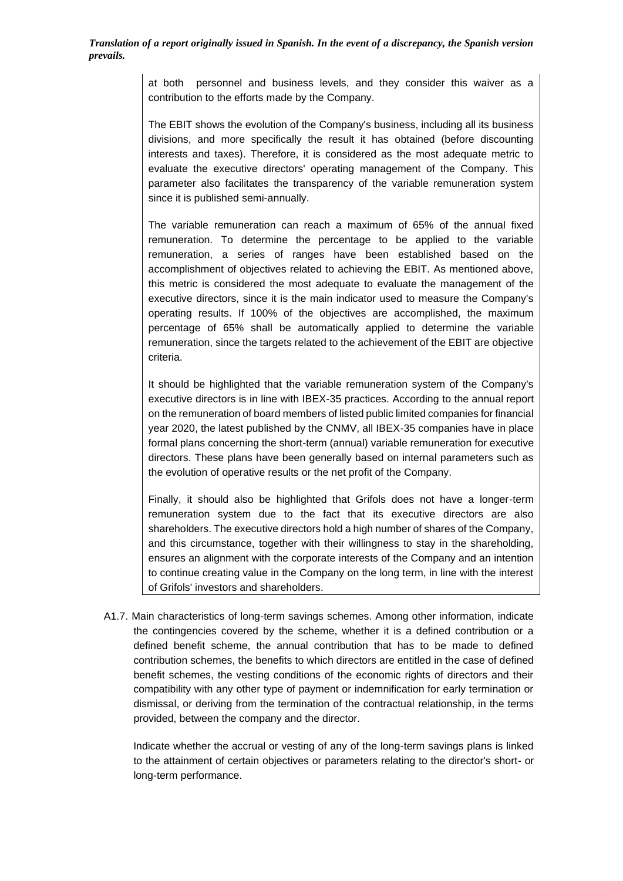> at both personnel and business levels, and they consider this waiver as a contribution to the efforts made by the Company.

> The EBIT shows the evolution of the Company's business, including all its business divisions, and more specifically the result it has obtained (before discounting interests and taxes). Therefore, it is considered as the most adequate metric to evaluate the executive directors' operating management of the Company. This parameter also facilitates the transparency of the variable remuneration system since it is published semi-annually.

> The variable remuneration can reach a maximum of 65% of the annual fixed remuneration. To determine the percentage to be applied to the variable remuneration, a series of ranges have been established based on the accomplishment of objectives related to achieving the EBIT. As mentioned above, this metric is considered the most adequate to evaluate the management of the executive directors, since it is the main indicator used to measure the Company's operating results. If 100% of the objectives are accomplished, the maximum percentage of 65% shall be automatically applied to determine the variable remuneration, since the targets related to the achievement of the EBIT are objective criteria.

> It should be highlighted that the variable remuneration system of the Company's executive directors is in line with IBEX-35 practices. According to the annual report on the remuneration of board members of listed public limited companies for financial year 2020, the latest published by the CNMV, all IBEX-35 companies have in place formal plans concerning the short-term (annual) variable remuneration for executive directors. These plans have been generally based on internal parameters such as the evolution of operative results or the net profit of the Company.

> Finally, it should also be highlighted that Grifols does not have a longer-term remuneration system due to the fact that its executive directors are also shareholders. The executive directors hold a high number of shares of the Company, and this circumstance, together with their willingness to stay in the shareholding, ensures an alignment with the corporate interests of the Company and an intention to continue creating value in the Company on the long term, in line with the interest of Grifols' investors and shareholders.

A1.7. Main characteristics of long-term savings schemes. Among other information, indicate the contingencies covered by the scheme, whether it is a defined contribution or a defined benefit scheme, the annual contribution that has to be made to defined contribution schemes, the benefits to which directors are entitled in the case of defined benefit schemes, the vesting conditions of the economic rights of directors and their compatibility with any other type of payment or indemnification for early termination or dismissal, or deriving from the termination of the contractual relationship, in the terms provided, between the company and the director.

Indicate whether the accrual or vesting of any of the long-term savings plans is linked to the attainment of certain objectives or parameters relating to the director's short- or long-term performance.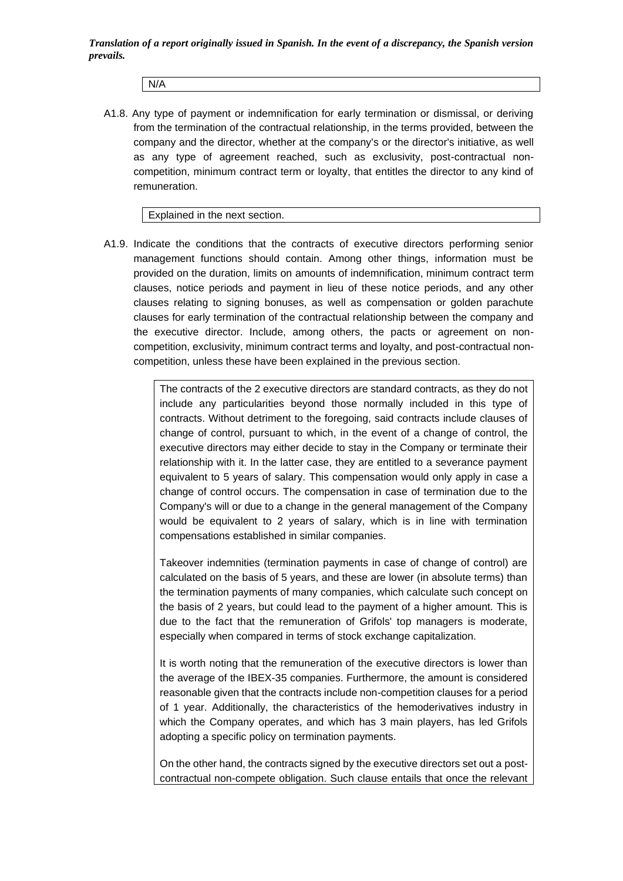N/A

A1.8. Any type of payment or indemnification for early termination or dismissal, or deriving from the termination of the contractual relationship, in the terms provided, between the company and the director, whether at the company's or the director's initiative, as well as any type of agreement reached, such as exclusivity, post-contractual noncompetition, minimum contract term or loyalty, that entitles the director to any kind of remuneration.

Explained in the next section.

A1.9. Indicate the conditions that the contracts of executive directors performing senior management functions should contain. Among other things, information must be provided on the duration, limits on amounts of indemnification, minimum contract term clauses, notice periods and payment in lieu of these notice periods, and any other clauses relating to signing bonuses, as well as compensation or golden parachute clauses for early termination of the contractual relationship between the company and the executive director. Include, among others, the pacts or agreement on noncompetition, exclusivity, minimum contract terms and loyalty, and post-contractual noncompetition, unless these have been explained in the previous section.

> The contracts of the 2 executive directors are standard contracts, as they do not include any particularities beyond those normally included in this type of contracts. Without detriment to the foregoing, said contracts include clauses of change of control, pursuant to which, in the event of a change of control, the executive directors may either decide to stay in the Company or terminate their relationship with it. In the latter case, they are entitled to a severance payment equivalent to 5 years of salary. This compensation would only apply in case a change of control occurs. The compensation in case of termination due to the Company's will or due to a change in the general management of the Company would be equivalent to 2 years of salary, which is in line with termination compensations established in similar companies.

> Takeover indemnities (termination payments in case of change of control) are calculated on the basis of 5 years, and these are lower (in absolute terms) than the termination payments of many companies, which calculate such concept on the basis of 2 years, but could lead to the payment of a higher amount. This is due to the fact that the remuneration of Grifols' top managers is moderate, especially when compared in terms of stock exchange capitalization.

> It is worth noting that the remuneration of the executive directors is lower than the average of the IBEX-35 companies. Furthermore, the amount is considered reasonable given that the contracts include non-competition clauses for a period of 1 year. Additionally, the characteristics of the hemoderivatives industry in which the Company operates, and which has 3 main players, has led Grifols adopting a specific policy on termination payments.

> On the other hand, the contracts signed by the executive directors set out a postcontractual non-compete obligation. Such clause entails that once the relevant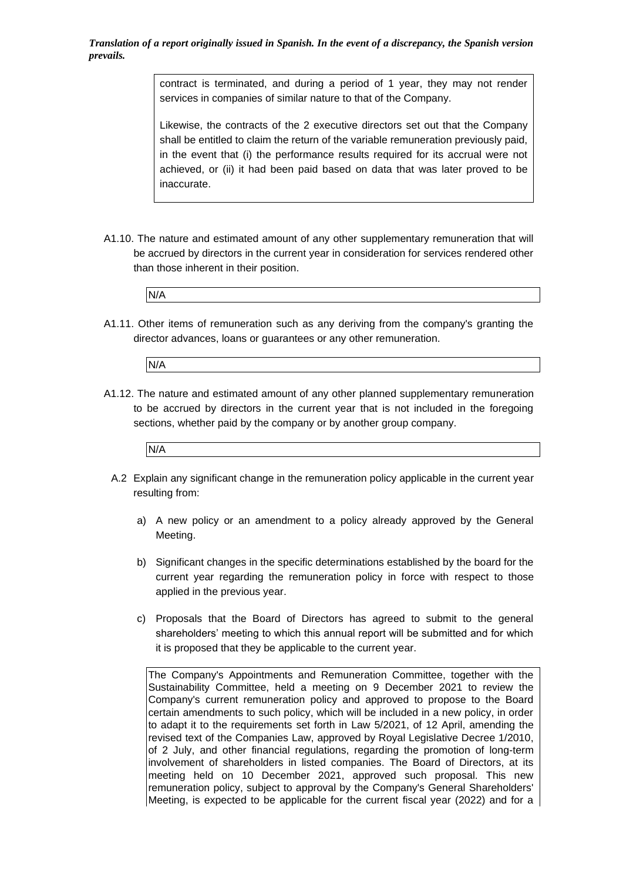> contract is terminated, and during a period of 1 year, they may not render services in companies of similar nature to that of the Company.

> Likewise, the contracts of the 2 executive directors set out that the Company shall be entitled to claim the return of the variable remuneration previously paid, in the event that (i) the performance results required for its accrual were not achieved, or (ii) it had been paid based on data that was later proved to be inaccurate.

A1.10. The nature and estimated amount of any other supplementary remuneration that will be accrued by directors in the current year in consideration for services rendered other than those inherent in their position.

|--|

A1.11. Other items of remuneration such as any deriving from the company's granting the director advances, loans or guarantees or any other remuneration.



A1.12. The nature and estimated amount of any other planned supplementary remuneration to be accrued by directors in the current year that is not included in the foregoing sections, whether paid by the company or by another group company.



- A.2 Explain any significant change in the remuneration policy applicable in the current year resulting from:
	- a) A new policy or an amendment to a policy already approved by the General Meeting.
	- b) Significant changes in the specific determinations established by the board for the current year regarding the remuneration policy in force with respect to those applied in the previous year.
	- c) Proposals that the Board of Directors has agreed to submit to the general shareholders' meeting to which this annual report will be submitted and for which it is proposed that they be applicable to the current year.

The Company's Appointments and Remuneration Committee, together with the Sustainability Committee, held a meeting on 9 December 2021 to review the Company's current remuneration policy and approved to propose to the Board certain amendments to such policy, which will be included in a new policy, in order to adapt it to the requirements set forth in Law 5/2021, of 12 April, amending the revised text of the Companies Law, approved by Royal Legislative Decree 1/2010, of 2 July, and other financial regulations, regarding the promotion of long-term involvement of shareholders in listed companies. The Board of Directors, at its meeting held on 10 December 2021, approved such proposal. This new remuneration policy, subject to approval by the Company's General Shareholders' Meeting, is expected to be applicable for the current fiscal year (2022) and for a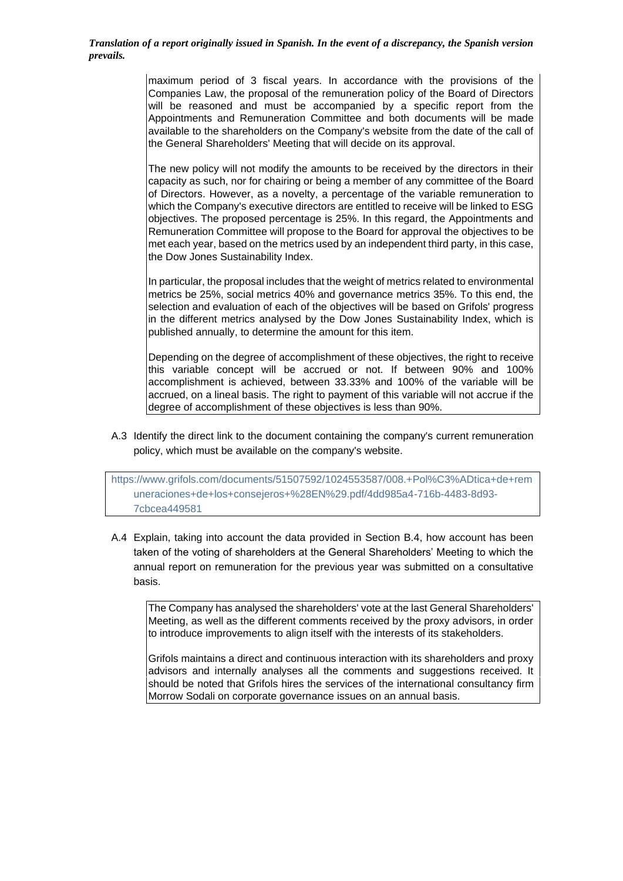> maximum period of 3 fiscal years. In accordance with the provisions of the Companies Law, the proposal of the remuneration policy of the Board of Directors will be reasoned and must be accompanied by a specific report from the Appointments and Remuneration Committee and both documents will be made available to the shareholders on the Company's website from the date of the call of the General Shareholders' Meeting that will decide on its approval.

> The new policy will not modify the amounts to be received by the directors in their capacity as such, nor for chairing or being a member of any committee of the Board of Directors. However, as a novelty, a percentage of the variable remuneration to which the Company's executive directors are entitled to receive will be linked to ESG objectives. The proposed percentage is 25%. In this regard, the Appointments and Remuneration Committee will propose to the Board for approval the objectives to be met each year, based on the metrics used by an independent third party, in this case, the Dow Jones Sustainability Index.

> In particular, the proposal includes that the weight of metrics related to environmental metrics be 25%, social metrics 40% and governance metrics 35%. To this end, the selection and evaluation of each of the objectives will be based on Grifols' progress in the different metrics analysed by the Dow Jones Sustainability Index, which is published annually, to determine the amount for this item.

> Depending on the degree of accomplishment of these objectives, the right to receive this variable concept will be accrued or not. If between 90% and 100% accomplishment is achieved, between 33.33% and 100% of the variable will be accrued, on a lineal basis. The right to payment of this variable will not accrue if the degree of accomplishment of these objectives is less than 90%.

A.3 Identify the direct link to the document containing the company's current remuneration policy, which must be available on the company's website.

[https://www.grifols.com/documents/51507592/1024553587/008.+Pol%C3%ADtica+de+rem](https://www.grifols.com/documents/51507592/1024553587/008.+Pol%C3%ADtica+de+remuneraciones+de+los+consejeros+%28EN%29.pdf/4dd985a4-716b-4483-8d93-7cbcea449581) [uneraciones+de+los+consejeros+%28EN%29.pdf/4dd985a4-716b-4483-8d93-](https://www.grifols.com/documents/51507592/1024553587/008.+Pol%C3%ADtica+de+remuneraciones+de+los+consejeros+%28EN%29.pdf/4dd985a4-716b-4483-8d93-7cbcea449581) [7cbcea449581](https://www.grifols.com/documents/51507592/1024553587/008.+Pol%C3%ADtica+de+remuneraciones+de+los+consejeros+%28EN%29.pdf/4dd985a4-716b-4483-8d93-7cbcea449581)

A.4 Explain, taking into account the data provided in Section B.4, how account has been taken of the voting of shareholders at the General Shareholders' Meeting to which the annual report on remuneration for the previous year was submitted on a consultative basis.

The Company has analysed the shareholders' vote at the last General Shareholders' Meeting, as well as the different comments received by the proxy advisors, in order to introduce improvements to align itself with the interests of its stakeholders.

Grifols maintains a direct and continuous interaction with its shareholders and proxy advisors and internally analyses all the comments and suggestions received. It should be noted that Grifols hires the services of the international consultancy firm Morrow Sodali on corporate governance issues on an annual basis.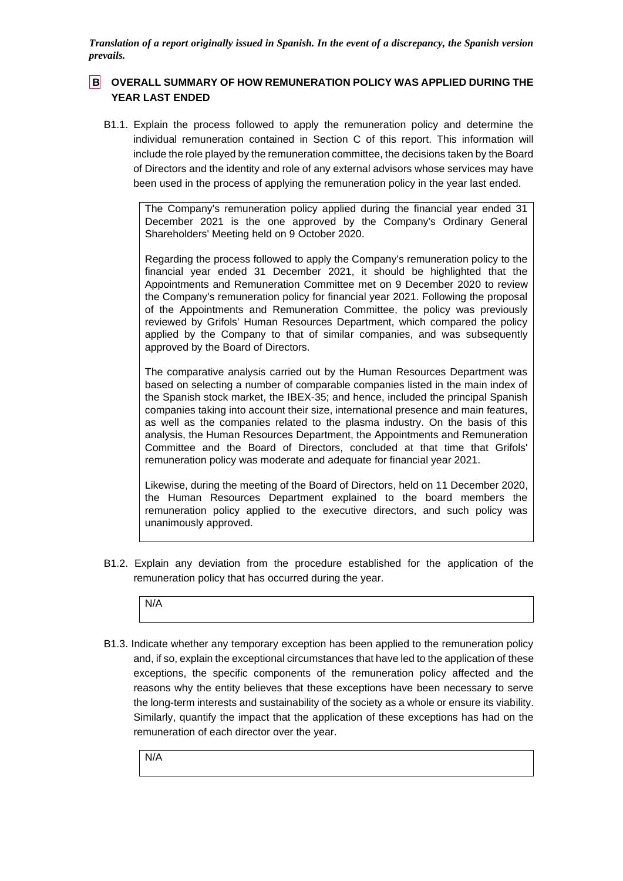## **B OVERALL SUMMARY OF HOW REMUNERATION POLICY WAS APPLIED DURING THE YEAR LAST ENDED**

B1.1. Explain the process followed to apply the remuneration policy and determine the individual remuneration contained in Section C of this report. This information will include the role played by the remuneration committee, the decisions taken by the Board of Directors and the identity and role of any external advisors whose services may have been used in the process of applying the remuneration policy in the year last ended.

The Company's remuneration policy applied during the financial year ended 31 December 2021 is the one approved by the Company's Ordinary General Shareholders' Meeting held on 9 October 2020.

Regarding the process followed to apply the Company's remuneration policy to the financial year ended 31 December 2021, it should be highlighted that the Appointments and Remuneration Committee met on 9 December 2020 to review the Company's remuneration policy for financial year 2021. Following the proposal of the Appointments and Remuneration Committee, the policy was previously reviewed by Grifols' Human Resources Department, which compared the policy applied by the Company to that of similar companies, and was subsequently approved by the Board of Directors.

The comparative analysis carried out by the Human Resources Department was based on selecting a number of comparable companies listed in the main index of the Spanish stock market, the IBEX-35; and hence, included the principal Spanish companies taking into account their size, international presence and main features, as well as the companies related to the plasma industry. On the basis of this analysis, the Human Resources Department, the Appointments and Remuneration Committee and the Board of Directors, concluded at that time that Grifols' remuneration policy was moderate and adequate for financial year 2021.

Likewise, during the meeting of the Board of Directors, held on 11 December 2020, the Human Resources Department explained to the board members the remuneration policy applied to the executive directors, and such policy was unanimously approved.

B1.2. Explain any deviation from the procedure established for the application of the remuneration policy that has occurred during the year.



B1.3. Indicate whether any temporary exception has been applied to the remuneration policy and, if so, explain the exceptional circumstances that have led to the application of these exceptions, the specific components of the remuneration policy affected and the reasons why the entity believes that these exceptions have been necessary to serve the long-term interests and sustainability of the society as a whole or ensure its viability. Similarly, quantify the impact that the application of these exceptions has had on the remuneration of each director over the year.

N/A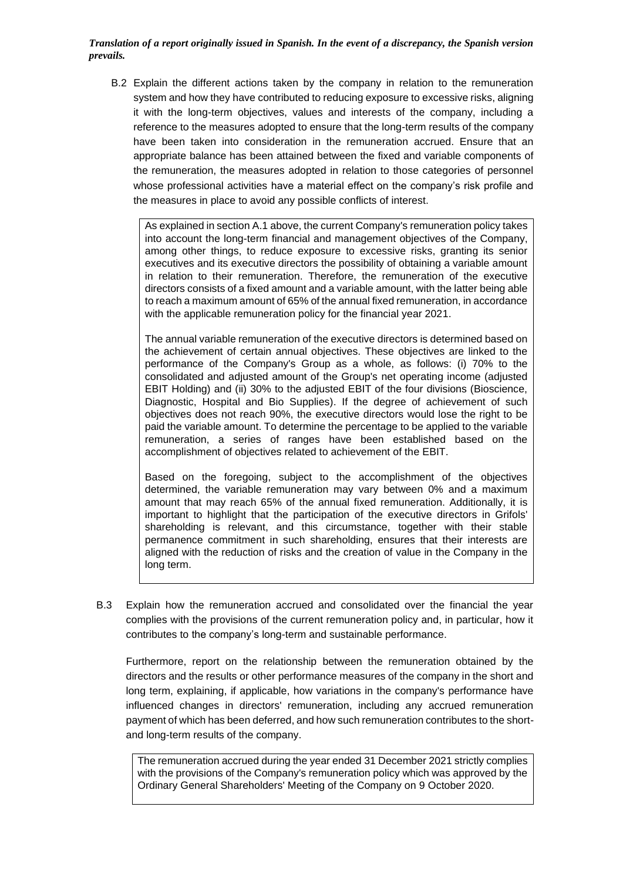B.2 Explain the different actions taken by the company in relation to the remuneration system and how they have contributed to reducing exposure to excessive risks, aligning it with the long-term objectives, values and interests of the company, including a reference to the measures adopted to ensure that the long-term results of the company have been taken into consideration in the remuneration accrued. Ensure that an appropriate balance has been attained between the fixed and variable components of the remuneration, the measures adopted in relation to those categories of personnel whose professional activities have a material effect on the company's risk profile and the measures in place to avoid any possible conflicts of interest.

As explained in section A.1 above, the current Company's remuneration policy takes into account the long-term financial and management objectives of the Company, among other things, to reduce exposure to excessive risks, granting its senior executives and its executive directors the possibility of obtaining a variable amount in relation to their remuneration. Therefore, the remuneration of the executive directors consists of a fixed amount and a variable amount, with the latter being able to reach a maximum amount of 65% of the annual fixed remuneration, in accordance with the applicable remuneration policy for the financial year 2021.

The annual variable remuneration of the executive directors is determined based on the achievement of certain annual objectives. These objectives are linked to the performance of the Company's Group as a whole, as follows: (i) 70% to the consolidated and adjusted amount of the Group's net operating income (adjusted EBIT Holding) and (ii) 30% to the adjusted EBIT of the four divisions (Bioscience, Diagnostic, Hospital and Bio Supplies). If the degree of achievement of such objectives does not reach 90%, the executive directors would lose the right to be paid the variable amount. To determine the percentage to be applied to the variable remuneration, a series of ranges have been established based on the accomplishment of objectives related to achievement of the EBIT.

Based on the foregoing, subject to the accomplishment of the objectives determined, the variable remuneration may vary between 0% and a maximum amount that may reach 65% of the annual fixed remuneration. Additionally, it is important to highlight that the participation of the executive directors in Grifols' shareholding is relevant, and this circumstance, together with their stable permanence commitment in such shareholding, ensures that their interests are aligned with the reduction of risks and the creation of value in the Company in the long term.

B.3 Explain how the remuneration accrued and consolidated over the financial the year complies with the provisions of the current remuneration policy and, in particular, how it contributes to the company's long-term and sustainable performance.

Furthermore, report on the relationship between the remuneration obtained by the directors and the results or other performance measures of the company in the short and long term, explaining, if applicable, how variations in the company's performance have influenced changes in directors' remuneration, including any accrued remuneration payment of which has been deferred, and how such remuneration contributes to the shortand long-term results of the company.

The remuneration accrued during the year ended 31 December 2021 strictly complies with the provisions of the Company's remuneration policy which was approved by the Ordinary General Shareholders' Meeting of the Company on 9 October 2020.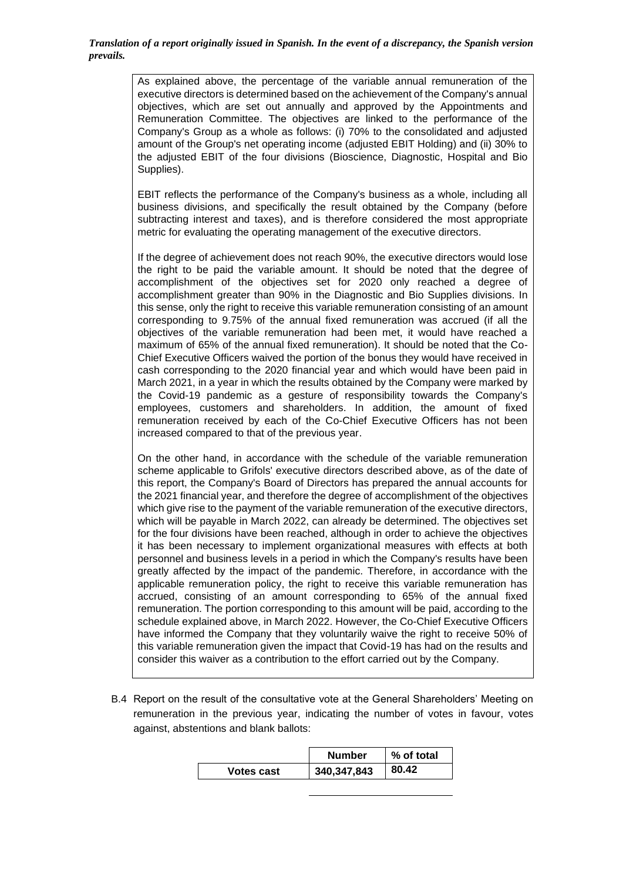As explained above, the percentage of the variable annual remuneration of the executive directors is determined based on the achievement of the Company's annual objectives, which are set out annually and approved by the Appointments and Remuneration Committee. The objectives are linked to the performance of the Company's Group as a whole as follows: (i) 70% to the consolidated and adjusted amount of the Group's net operating income (adjusted EBIT Holding) and (ii) 30% to the adjusted EBIT of the four divisions (Bioscience, Diagnostic, Hospital and Bio Supplies).

EBIT reflects the performance of the Company's business as a whole, including all business divisions, and specifically the result obtained by the Company (before subtracting interest and taxes), and is therefore considered the most appropriate metric for evaluating the operating management of the executive directors.

If the degree of achievement does not reach 90%, the executive directors would lose the right to be paid the variable amount. It should be noted that the degree of accomplishment of the objectives set for 2020 only reached a degree of accomplishment greater than 90% in the Diagnostic and Bio Supplies divisions. In this sense, only the right to receive this variable remuneration consisting of an amount corresponding to 9.75% of the annual fixed remuneration was accrued (if all the objectives of the variable remuneration had been met, it would have reached a maximum of 65% of the annual fixed remuneration). It should be noted that the Co-Chief Executive Officers waived the portion of the bonus they would have received in cash corresponding to the 2020 financial year and which would have been paid in March 2021, in a year in which the results obtained by the Company were marked by the Covid-19 pandemic as a gesture of responsibility towards the Company's employees, customers and shareholders. In addition, the amount of fixed remuneration received by each of the Co-Chief Executive Officers has not been increased compared to that of the previous year.

On the other hand, in accordance with the schedule of the variable remuneration scheme applicable to Grifols' executive directors described above, as of the date of this report, the Company's Board of Directors has prepared the annual accounts for the 2021 financial year, and therefore the degree of accomplishment of the objectives which give rise to the payment of the variable remuneration of the executive directors, which will be payable in March 2022, can already be determined. The objectives set for the four divisions have been reached, although in order to achieve the objectives it has been necessary to implement organizational measures with effects at both personnel and business levels in a period in which the Company's results have been greatly affected by the impact of the pandemic. Therefore, in accordance with the applicable remuneration policy, the right to receive this variable remuneration has accrued, consisting of an amount corresponding to 65% of the annual fixed remuneration. The portion corresponding to this amount will be paid, according to the schedule explained above, in March 2022. However, the Co-Chief Executive Officers have informed the Company that they voluntarily waive the right to receive 50% of this variable remuneration given the impact that Covid-19 has had on the results and consider this waiver as a contribution to the effort carried out by the Company.

B.4 Report on the result of the consultative vote at the General Shareholders' Meeting on remuneration in the previous year, indicating the number of votes in favour, votes against, abstentions and blank ballots:

|            | <b>Number</b> | % of total |
|------------|---------------|------------|
| Votes cast | 340,347,843   | 80.42      |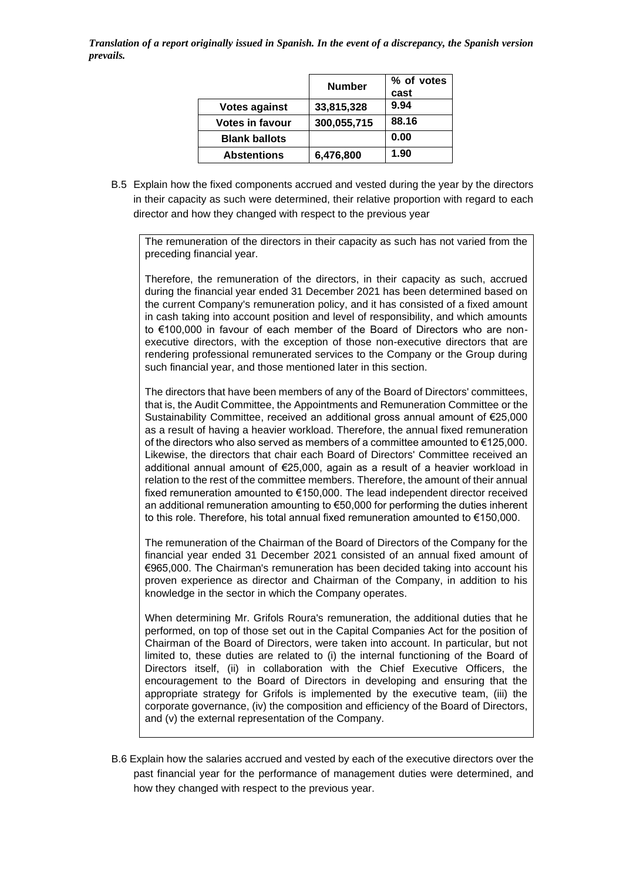|                        | <b>Number</b> | % of votes |
|------------------------|---------------|------------|
|                        |               | cast       |
| <b>Votes against</b>   | 33,815,328    | 9.94       |
| <b>Votes in favour</b> | 300,055,715   | 88.16      |
| <b>Blank ballots</b>   |               | 0.00       |
| <b>Abstentions</b>     | 6,476,800     | 1.90       |

B.5 Explain how the fixed components accrued and vested during the year by the directors in their capacity as such were determined, their relative proportion with regard to each director and how they changed with respect to the previous year

The remuneration of the directors in their capacity as such has not varied from the preceding financial year.

Therefore, the remuneration of the directors, in their capacity as such, accrued during the financial year ended 31 December 2021 has been determined based on the current Company's remuneration policy, and it has consisted of a fixed amount in cash taking into account position and level of responsibility, and which amounts to €100,000 in favour of each member of the Board of Directors who are nonexecutive directors, with the exception of those non-executive directors that are rendering professional remunerated services to the Company or the Group during such financial year, and those mentioned later in this section.

The directors that have been members of any of the Board of Directors' committees, that is, the Audit Committee, the Appointments and Remuneration Committee or the Sustainability Committee, received an additional gross annual amount of €25,000 as a result of having a heavier workload. Therefore, the annual fixed remuneration of the directors who also served as members of a committee amounted to €125,000. Likewise, the directors that chair each Board of Directors' Committee received an additional annual amount of €25,000, again as a result of a heavier workload in relation to the rest of the committee members. Therefore, the amount of their annual fixed remuneration amounted to €150,000. The lead independent director received an additional remuneration amounting to €50,000 for performing the duties inherent to this role. Therefore, his total annual fixed remuneration amounted to €150,000.

The remuneration of the Chairman of the Board of Directors of the Company for the financial year ended 31 December 2021 consisted of an annual fixed amount of €965,000. The Chairman's remuneration has been decided taking into account his proven experience as director and Chairman of the Company, in addition to his knowledge in the sector in which the Company operates.

When determining Mr. Grifols Roura's remuneration, the additional duties that he performed, on top of those set out in the Capital Companies Act for the position of Chairman of the Board of Directors, were taken into account. In particular, but not limited to, these duties are related to (i) the internal functioning of the Board of Directors itself, (ii) in collaboration with the Chief Executive Officers, the encouragement to the Board of Directors in developing and ensuring that the appropriate strategy for Grifols is implemented by the executive team, (iii) the corporate governance, (iv) the composition and efficiency of the Board of Directors, and (v) the external representation of the Company.

B.6 Explain how the salaries accrued and vested by each of the executive directors over the past financial year for the performance of management duties were determined, and how they changed with respect to the previous year.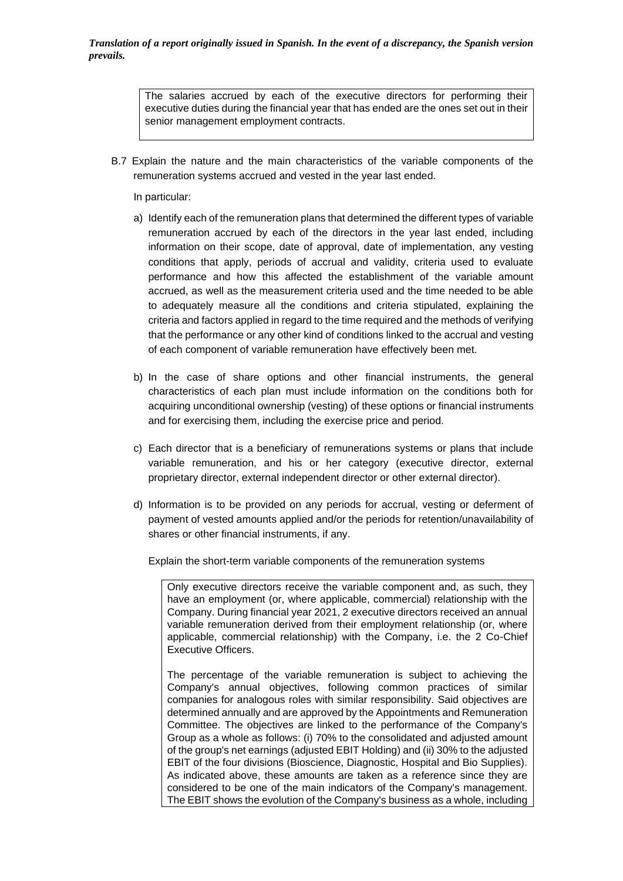The salaries accrued by each of the executive directors for performing their executive duties during the financial year that has ended are the ones set out in their senior management employment contracts.

- B.7 Explain the nature and the main characteristics of the variable components of the remuneration systems accrued and vested in the year last ended.
	- In particular:
	- a) Identify each of the remuneration plans that determined the different types of variable remuneration accrued by each of the directors in the year last ended, including information on their scope, date of approval, date of implementation, any vesting conditions that apply, periods of accrual and validity, criteria used to evaluate performance and how this affected the establishment of the variable amount accrued, as well as the measurement criteria used and the time needed to be able to adequately measure all the conditions and criteria stipulated, explaining the criteria and factors applied in regard to the time required and the methods of verifying that the performance or any other kind of conditions linked to the accrual and vesting of each component of variable remuneration have effectively been met.
	- b) In the case of share options and other financial instruments, the general characteristics of each plan must include information on the conditions both for acquiring unconditional ownership (vesting) of these options or financial instruments and for exercising them, including the exercise price and period.
	- c) Each director that is a beneficiary of remunerations systems or plans that include variable remuneration, and his or her category (executive director, external proprietary director, external independent director or other external director).
	- d) Information is to be provided on any periods for accrual, vesting or deferment of payment of vested amounts applied and/or the periods for retention/unavailability of shares or other financial instruments, if any.

Explain the short-term variable components of the remuneration systems

Only executive directors receive the variable component and, as such, they have an employment (or, where applicable, commercial) relationship with the Company. During financial year 2021, 2 executive directors received an annual variable remuneration derived from their employment relationship (or, where applicable, commercial relationship) with the Company, i.e. the 2 Co-Chief Executive Officers.

The percentage of the variable remuneration is subject to achieving the Company's annual objectives, following common practices of similar companies for analogous roles with similar responsibility. Said objectives are determined annually and are approved by the Appointments and Remuneration Committee. The objectives are linked to the performance of the Company's Group as a whole as follows: (i) 70% to the consolidated and adjusted amount of the group's net earnings (adjusted EBIT Holding) and (ii) 30% to the adjusted EBIT of the four divisions (Bioscience, Diagnostic, Hospital and Bio Supplies). As indicated above, these amounts are taken as a reference since they are considered to be one of the main indicators of the Company's management. The EBIT shows the evolution of the Company's business as a whole, including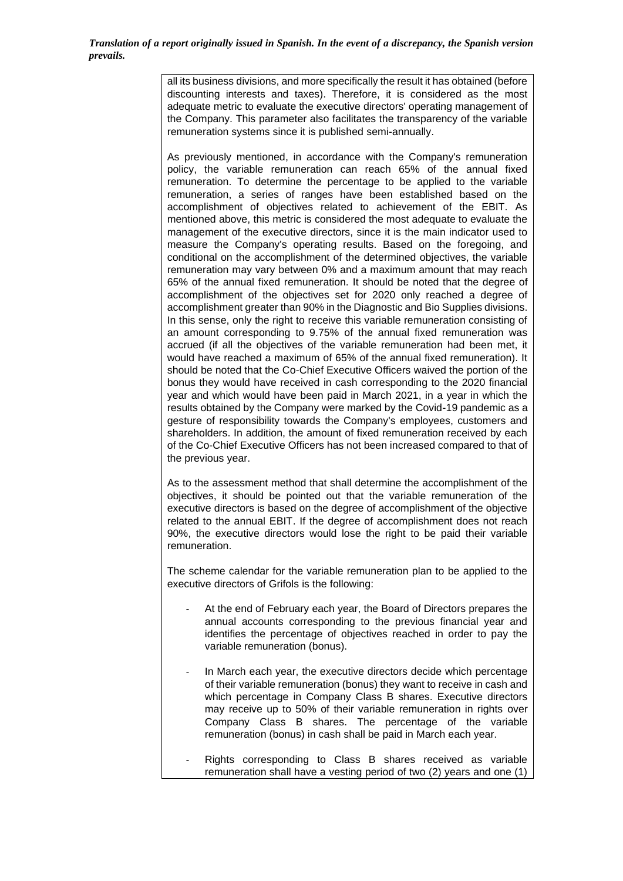all its business divisions, and more specifically the result it has obtained (before discounting interests and taxes). Therefore, it is considered as the most adequate metric to evaluate the executive directors' operating management of the Company. This parameter also facilitates the transparency of the variable remuneration systems since it is published semi-annually.

As previously mentioned, in accordance with the Company's remuneration policy, the variable remuneration can reach 65% of the annual fixed remuneration. To determine the percentage to be applied to the variable remuneration, a series of ranges have been established based on the accomplishment of objectives related to achievement of the EBIT. As mentioned above, this metric is considered the most adequate to evaluate the management of the executive directors, since it is the main indicator used to measure the Company's operating results. Based on the foregoing, and conditional on the accomplishment of the determined objectives, the variable remuneration may vary between 0% and a maximum amount that may reach 65% of the annual fixed remuneration. It should be noted that the degree of accomplishment of the objectives set for 2020 only reached a degree of accomplishment greater than 90% in the Diagnostic and Bio Supplies divisions. In this sense, only the right to receive this variable remuneration consisting of an amount corresponding to 9.75% of the annual fixed remuneration was accrued (if all the objectives of the variable remuneration had been met, it would have reached a maximum of 65% of the annual fixed remuneration). It should be noted that the Co-Chief Executive Officers waived the portion of the bonus they would have received in cash corresponding to the 2020 financial year and which would have been paid in March 2021, in a year in which the results obtained by the Company were marked by the Covid-19 pandemic as a gesture of responsibility towards the Company's employees, customers and shareholders. In addition, the amount of fixed remuneration received by each of the Co-Chief Executive Officers has not been increased compared to that of the previous year.

As to the assessment method that shall determine the accomplishment of the objectives, it should be pointed out that the variable remuneration of the executive directors is based on the degree of accomplishment of the objective related to the annual EBIT. If the degree of accomplishment does not reach 90%, the executive directors would lose the right to be paid their variable remuneration.

The scheme calendar for the variable remuneration plan to be applied to the executive directors of Grifols is the following:

- At the end of February each year, the Board of Directors prepares the annual accounts corresponding to the previous financial year and identifies the percentage of objectives reached in order to pay the variable remuneration (bonus).
- In March each year, the executive directors decide which percentage of their variable remuneration (bonus) they want to receive in cash and which percentage in Company Class B shares. Executive directors may receive up to 50% of their variable remuneration in rights over Company Class B shares. The percentage of the variable remuneration (bonus) in cash shall be paid in March each year.
- Rights corresponding to Class B shares received as variable remuneration shall have a vesting period of two (2) years and one (1)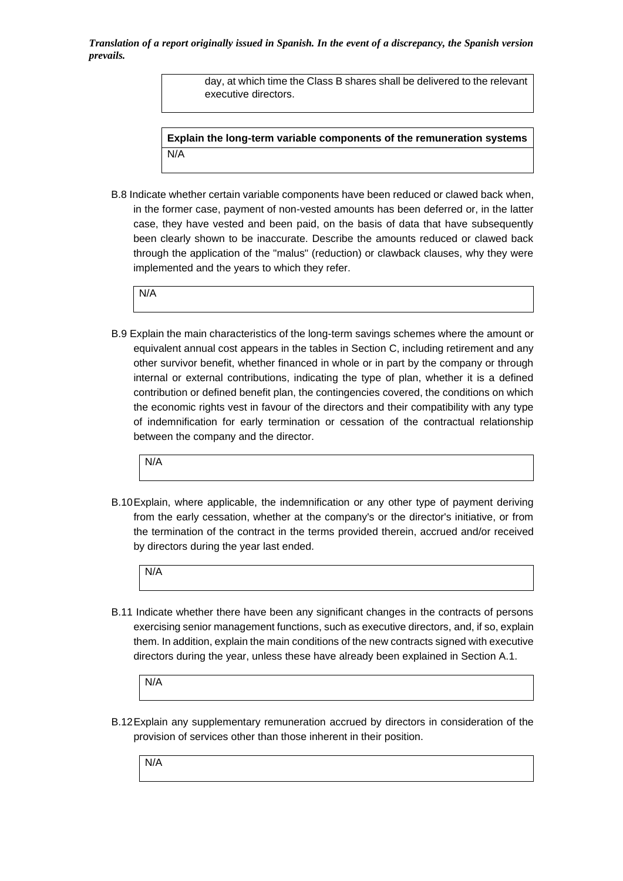> day, at which time the Class B shares shall be delivered to the relevant executive directors.

**Explain the long-term variable components of the remuneration systems** N/A

B.8 Indicate whether certain variable components have been reduced or clawed back when, in the former case, payment of non-vested amounts has been deferred or, in the latter case, they have vested and been paid, on the basis of data that have subsequently been clearly shown to be inaccurate. Describe the amounts reduced or clawed back through the application of the "malus" (reduction) or clawback clauses, why they were implemented and the years to which they refer.

N/A

B.9 Explain the main characteristics of the long-term savings schemes where the amount or equivalent annual cost appears in the tables in Section C, including retirement and any other survivor benefit, whether financed in whole or in part by the company or through internal or external contributions, indicating the type of plan, whether it is a defined contribution or defined benefit plan, the contingencies covered, the conditions on which the economic rights vest in favour of the directors and their compatibility with any type of indemnification for early termination or cessation of the contractual relationship between the company and the director.

N/A

B.10Explain, where applicable, the indemnification or any other type of payment deriving from the early cessation, whether at the company's or the director's initiative, or from the termination of the contract in the terms provided therein, accrued and/or received by directors during the year last ended.

N/A

B.11 Indicate whether there have been any significant changes in the contracts of persons exercising senior management functions, such as executive directors, and, if so, explain them. In addition, explain the main conditions of the new contracts signed with executive directors during the year, unless these have already been explained in Section A.1.

N/A

B.12Explain any supplementary remuneration accrued by directors in consideration of the provision of services other than those inherent in their position.

N/A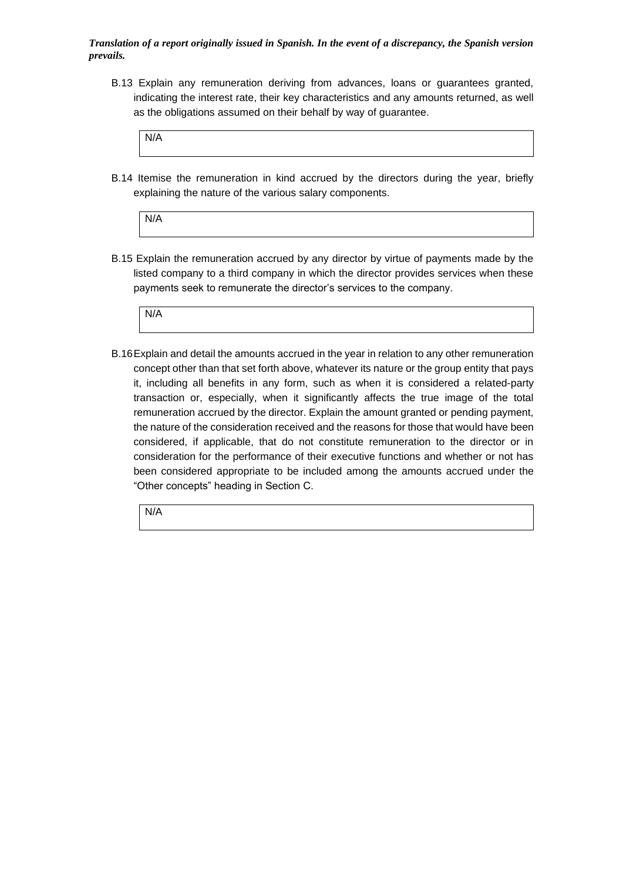B.13 Explain any remuneration deriving from advances, loans or guarantees granted, indicating the interest rate, their key characteristics and any amounts returned, as well as the obligations assumed on their behalf by way of guarantee.

| N/A |  |  |
|-----|--|--|
|     |  |  |
|     |  |  |
|     |  |  |
|     |  |  |

B.14 Itemise the remuneration in kind accrued by the directors during the year, briefly explaining the nature of the various salary components.

| N/A |  |  |
|-----|--|--|
|     |  |  |
|     |  |  |

B.15 Explain the remuneration accrued by any director by virtue of payments made by the listed company to a third company in which the director provides services when these payments seek to remunerate the director's services to the company.



B.16Explain and detail the amounts accrued in the year in relation to any other remuneration concept other than that set forth above, whatever its nature or the group entity that pays it, including all benefits in any form, such as when it is considered a related-party transaction or, especially, when it significantly affects the true image of the total remuneration accrued by the director. Explain the amount granted or pending payment, the nature of the consideration received and the reasons for those that would have been considered, if applicable, that do not constitute remuneration to the director or in consideration for the performance of their executive functions and whether or not has been considered appropriate to be included among the amounts accrued under the "Other concepts" heading in Section C.

N/A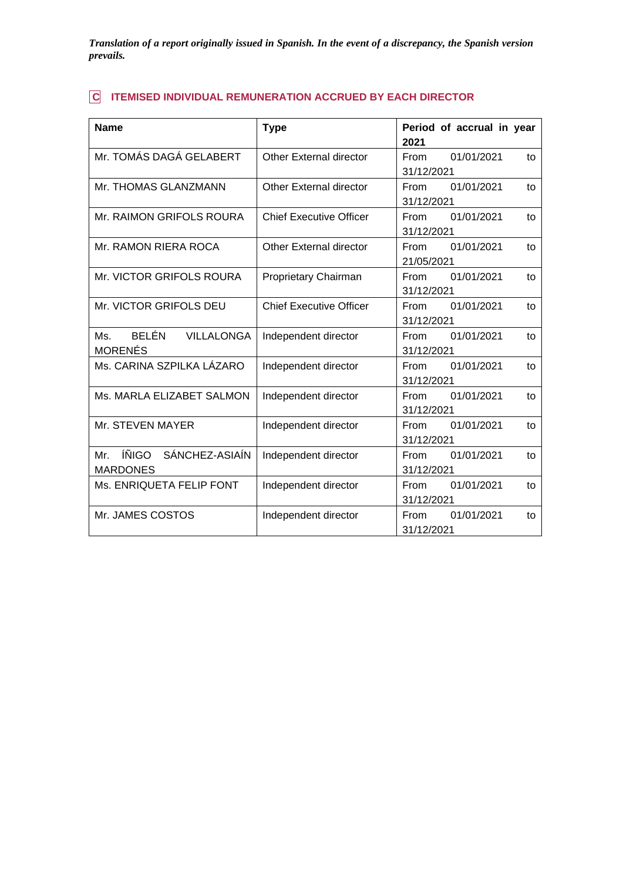# **C ITEMISED INDIVIDUAL REMUNERATION ACCRUED BY EACH DIRECTOR**

| <b>Name</b>                                       | <b>Type</b>                    | Period of accrual in year                      |
|---------------------------------------------------|--------------------------------|------------------------------------------------|
| Mr. TOMÁS DAGÁ GELABERT                           | Other External director        | 2021<br>01/01/2021<br>From<br>to<br>31/12/2021 |
| Mr. THOMAS GLANZMANN                              | Other External director        | <b>From</b><br>01/01/2021<br>to<br>31/12/2021  |
| Mr. RAIMON GRIFOLS ROURA                          | <b>Chief Executive Officer</b> | 01/01/2021<br>From<br>to<br>31/12/2021         |
| Mr. RAMON RIERA ROCA                              | <b>Other External director</b> | 01/01/2021<br>From<br>to<br>21/05/2021         |
| Mr. VICTOR GRIFOLS ROURA                          | Proprietary Chairman           | 01/01/2021<br><b>From</b><br>to<br>31/12/2021  |
| Mr. VICTOR GRIFOLS DEU                            | <b>Chief Executive Officer</b> | 01/01/2021<br>From<br>to<br>31/12/2021         |
| Ms. BELÉN<br>VILLALONGA<br><b>MORENÉS</b>         | Independent director           | 01/01/2021<br>From<br>to<br>31/12/2021         |
| Ms. CARINA SZPILKA LÁZARO                         | Independent director           | 01/01/2021<br>From<br>to<br>31/12/2021         |
| Ms. MARLA ELIZABET SALMON                         | Independent director           | 01/01/2021<br>From<br>to<br>31/12/2021         |
| Mr. STEVEN MAYER                                  | Independent director           | From<br>01/01/2021<br>to<br>31/12/2021         |
| ÍÑIGO<br>SÁNCHEZ-ASIAÍN<br>Mr.<br><b>MARDONES</b> | Independent director           | 01/01/2021<br>From<br>to<br>31/12/2021         |
| Ms. ENRIQUETA FELIP FONT                          | Independent director           | 01/01/2021<br>From<br>to<br>31/12/2021         |
| Mr. JAMES COSTOS                                  | Independent director           | 01/01/2021<br><b>From</b><br>to<br>31/12/2021  |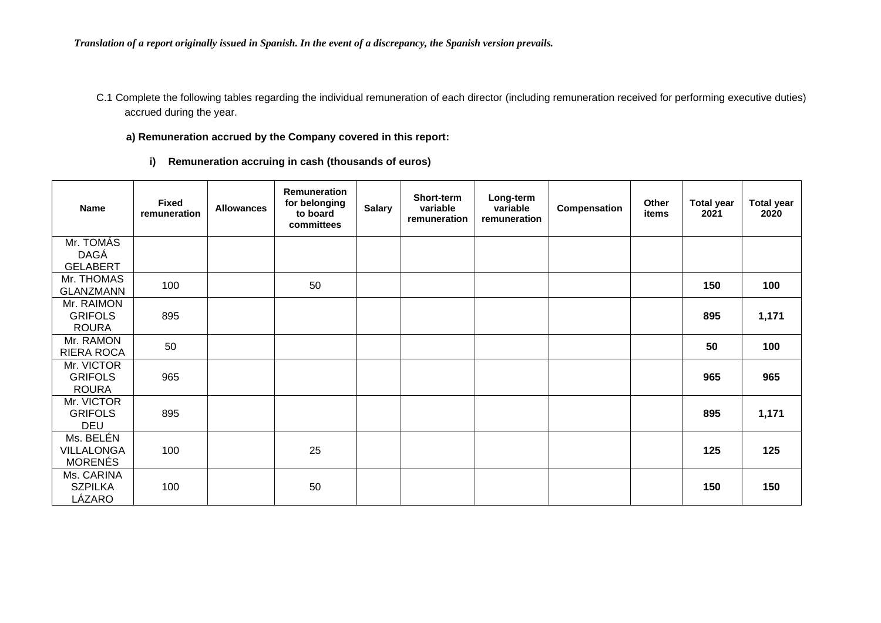C.1 Complete the following tables regarding the individual remuneration of each director (including remuneration received for performing executive duties) accrued during the year.

### **a) Remuneration accrued by the Company covered in this report:**

**i) Remuneration accruing in cash (thousands of euros)**

| <b>Name</b>                                  | <b>Fixed</b><br>remuneration | <b>Allowances</b> | Remuneration<br>for belonging<br>to board<br>committees | <b>Salary</b> | Short-term<br>variable<br>remuneration | Long-term<br>variable<br>remuneration | Compensation | Other<br>items | <b>Total year</b><br>2021 | <b>Total year</b><br>2020 |
|----------------------------------------------|------------------------------|-------------------|---------------------------------------------------------|---------------|----------------------------------------|---------------------------------------|--------------|----------------|---------------------------|---------------------------|
| Mr. TOMÁS<br><b>DAGÁ</b><br><b>GELABERT</b>  |                              |                   |                                                         |               |                                        |                                       |              |                |                           |                           |
| Mr. THOMAS<br><b>GLANZMANN</b>               | 100                          |                   | 50                                                      |               |                                        |                                       |              |                | 150                       | 100                       |
| Mr. RAIMON<br><b>GRIFOLS</b><br><b>ROURA</b> | 895                          |                   |                                                         |               |                                        |                                       |              |                | 895                       | 1,171                     |
| Mr. RAMON<br>RIERA ROCA                      | 50                           |                   |                                                         |               |                                        |                                       |              |                | 50                        | 100                       |
| Mr. VICTOR<br><b>GRIFOLS</b><br><b>ROURA</b> | 965                          |                   |                                                         |               |                                        |                                       |              |                | 965                       | 965                       |
| Mr. VICTOR<br><b>GRIFOLS</b><br>DEU          | 895                          |                   |                                                         |               |                                        |                                       |              |                | 895                       | 1,171                     |
| Ms. BELÉN<br>VILLALONGA<br><b>MORENÉS</b>    | 100                          |                   | 25                                                      |               |                                        |                                       |              |                | 125                       | 125                       |
| Ms. CARINA<br><b>SZPILKA</b><br>LÁZARO       | 100                          |                   | 50                                                      |               |                                        |                                       |              |                | 150                       | 150                       |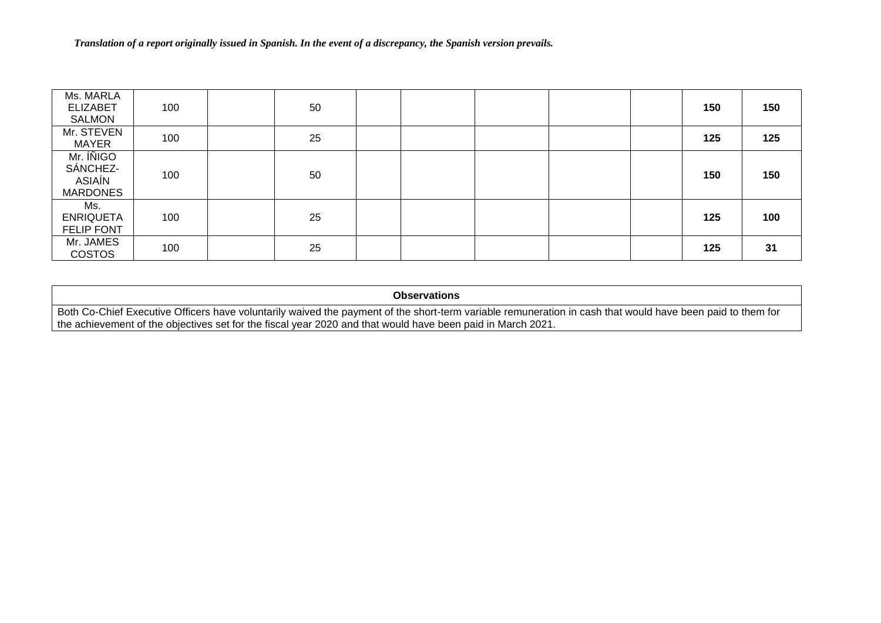| Ms. MARLA<br><b>ELIZABET</b><br><b>SALMON</b>      | 100 | 50 |  |  | 150 | 150 |
|----------------------------------------------------|-----|----|--|--|-----|-----|
| Mr. STEVEN<br><b>MAYER</b>                         | 100 | 25 |  |  | 125 | 125 |
| Mr. INIGO<br>SÁNCHEZ-<br>ASIAÍN<br><b>MARDONES</b> | 100 | 50 |  |  | 150 | 150 |
| Ms.<br><b>ENRIQUETA</b><br><b>FELIP FONT</b>       | 100 | 25 |  |  | 125 | 100 |
| Mr. JAMES<br><b>COSTOS</b>                         | 100 | 25 |  |  | 125 | 31  |

### **Observations**

Both Co-Chief Executive Officers have voluntarily waived the payment of the short-term variable remuneration in cash that would have been paid to them for the achievement of the objectives set for the fiscal year 2020 and that would have been paid in March 2021.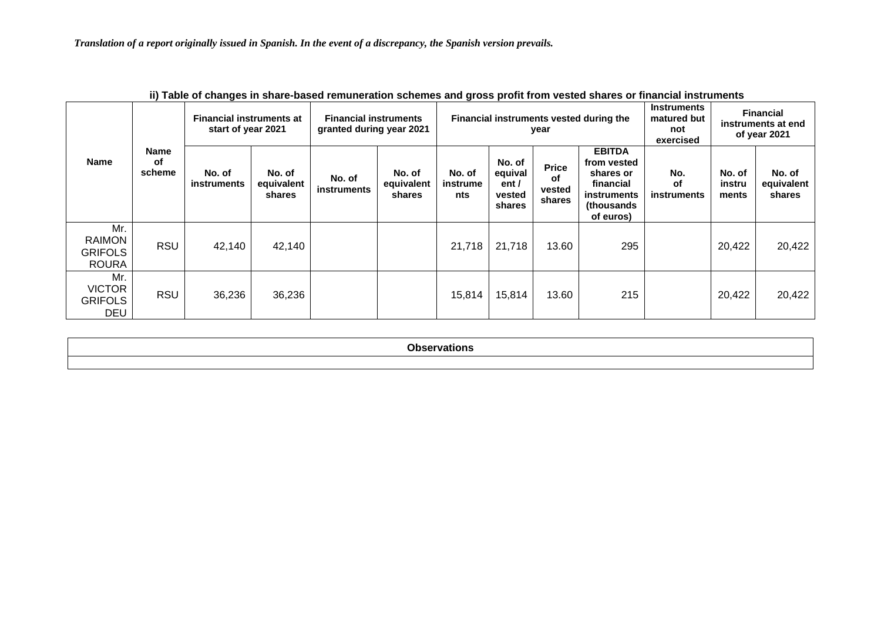|                                                        | ii) Table of Ghanges in Share-based Femaneiation Schemes and gross pront from vested shares of miancial mstruments |                                                       |                                |                                                          |                                |                           |                                                |                                        |                                                                                                   |                                                       |                           |                                                        |
|--------------------------------------------------------|--------------------------------------------------------------------------------------------------------------------|-------------------------------------------------------|--------------------------------|----------------------------------------------------------|--------------------------------|---------------------------|------------------------------------------------|----------------------------------------|---------------------------------------------------------------------------------------------------|-------------------------------------------------------|---------------------------|--------------------------------------------------------|
|                                                        |                                                                                                                    | <b>Financial instruments at</b><br>start of year 2021 |                                | <b>Financial instruments</b><br>granted during year 2021 |                                |                           |                                                | year                                   | Financial instruments vested during the                                                           | <b>Instruments</b><br>matured but<br>not<br>exercised |                           | <b>Financial</b><br>instruments at end<br>of year 2021 |
| <b>Name</b>                                            | <b>Name</b><br>οf<br>scheme                                                                                        | No. of<br><b>instruments</b>                          | No. of<br>equivalent<br>shares | No. of<br>instruments                                    | No. of<br>equivalent<br>shares | No. of<br>instrume<br>nts | No. of<br>equival<br>ent /<br>vested<br>shares | <b>Price</b><br>of<br>vested<br>shares | <b>EBITDA</b><br>from vested<br>shares or<br>financial<br>instruments<br>(thousands)<br>of euros) | No.<br>оf<br><b>instruments</b>                       | No. of<br>instru<br>ments | No. of<br>equivalent<br>shares                         |
| Mr.<br><b>RAIMON</b><br><b>GRIFOLS</b><br><b>ROURA</b> | <b>RSU</b>                                                                                                         | 42,140                                                | 42,140                         |                                                          |                                | 21,718                    | 21,718                                         | 13.60                                  | 295                                                                                               |                                                       | 20,422                    | 20,422                                                 |
| Mr.<br><b>VICTOR</b><br><b>GRIFOLS</b><br><b>DEU</b>   | <b>RSU</b>                                                                                                         | 36,236                                                | 36,236                         |                                                          |                                | 15,814                    | 15,814                                         | 13.60                                  | 215                                                                                               |                                                       | 20,422                    | 20,422                                                 |

| ii) Table of changes in share-based remuneration schemes and gross profit from vested shares or financial instruments |  |
|-----------------------------------------------------------------------------------------------------------------------|--|
|-----------------------------------------------------------------------------------------------------------------------|--|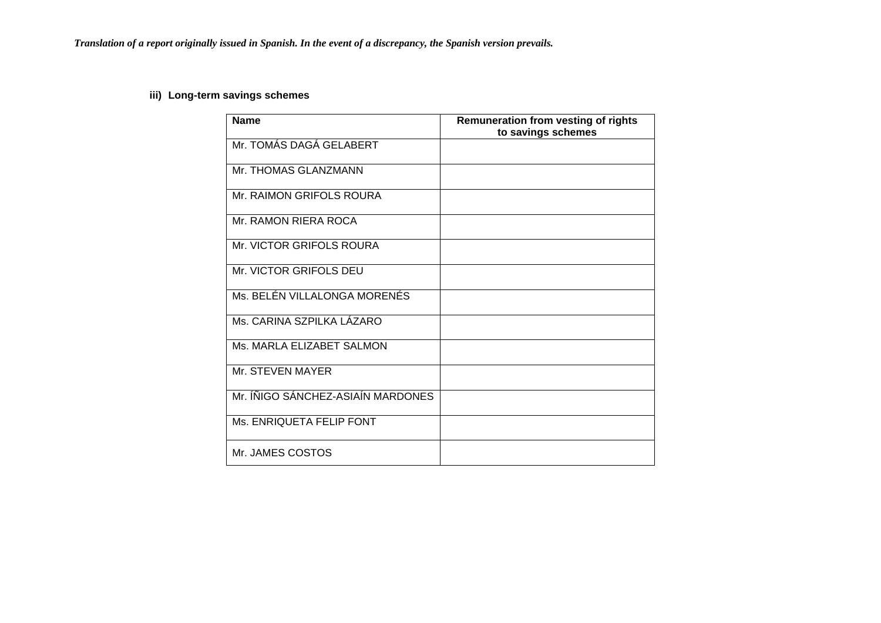# **iii) Long-term savings schemes**

| <b>Name</b>                       | <b>Remuneration from vesting of rights</b><br>to savings schemes |
|-----------------------------------|------------------------------------------------------------------|
| Mr. TOMÁS DAGÁ GELABERT           |                                                                  |
| Mr. THOMAS GLANZMANN              |                                                                  |
| Mr. RAIMON GRIFOLS ROURA          |                                                                  |
| Mr. RAMON RIERA ROCA              |                                                                  |
| Mr. VICTOR GRIFOLS ROURA          |                                                                  |
| Mr. VICTOR GRIFOLS DEU            |                                                                  |
| Ms. BELÉN VILLALONGA MORENÉS      |                                                                  |
| Ms. CARINA SZPILKA LÁZARO         |                                                                  |
| Ms. MARLA ELIZABET SALMON         |                                                                  |
| Mr. STEVEN MAYER                  |                                                                  |
| Mr. ÍÑIGO SÁNCHEZ-ASIAÍN MARDONES |                                                                  |
| Ms. ENRIQUETA FELIP FONT          |                                                                  |
| Mr. JAMES COSTOS                  |                                                                  |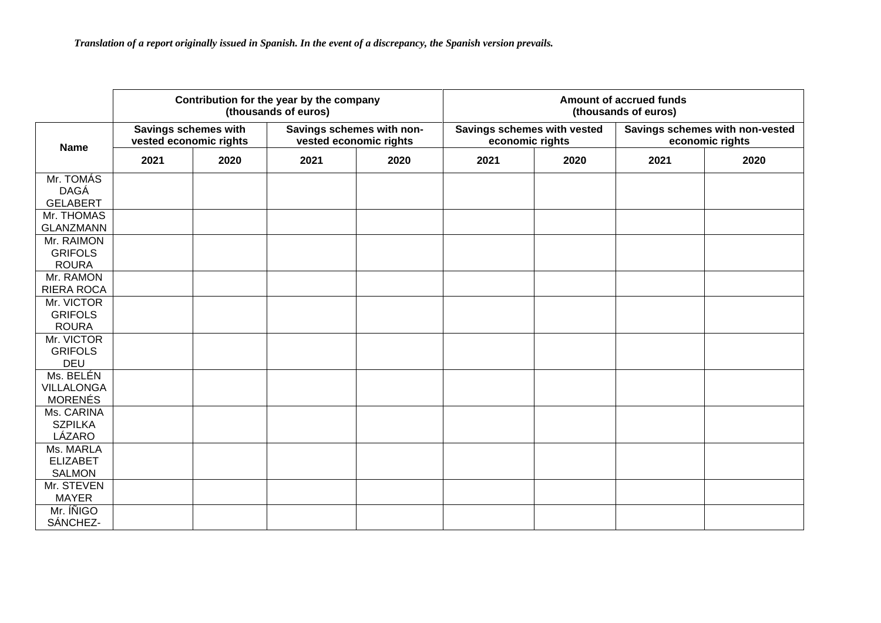|                                                  |                                                |      | Contribution for the year by the company<br>(thousands of euros) |      | Amount of accrued funds<br>(thousands of euros) |      |                                                    |      |  |  |  |
|--------------------------------------------------|------------------------------------------------|------|------------------------------------------------------------------|------|-------------------------------------------------|------|----------------------------------------------------|------|--|--|--|
| <b>Name</b>                                      | Savings schemes with<br>vested economic rights |      | Savings schemes with non-<br>vested economic rights              |      | Savings schemes with vested<br>economic rights  |      | Savings schemes with non-vested<br>economic rights |      |  |  |  |
|                                                  | 2021                                           | 2020 | 2021                                                             | 2020 | 2021                                            | 2020 | 2021                                               | 2020 |  |  |  |
| Mr. TOMÁS<br><b>DAGÁ</b><br><b>GELABERT</b>      |                                                |      |                                                                  |      |                                                 |      |                                                    |      |  |  |  |
| Mr. THOMAS<br><b>GLANZMANN</b>                   |                                                |      |                                                                  |      |                                                 |      |                                                    |      |  |  |  |
| Mr. RAIMON<br><b>GRIFOLS</b><br><b>ROURA</b>     |                                                |      |                                                                  |      |                                                 |      |                                                    |      |  |  |  |
| Mr. RAMON<br>RIERA ROCA                          |                                                |      |                                                                  |      |                                                 |      |                                                    |      |  |  |  |
| Mr. VICTOR<br><b>GRIFOLS</b><br><b>ROURA</b>     |                                                |      |                                                                  |      |                                                 |      |                                                    |      |  |  |  |
| Mr. VICTOR<br><b>GRIFOLS</b><br><b>DEU</b>       |                                                |      |                                                                  |      |                                                 |      |                                                    |      |  |  |  |
| Ms. BELÉN<br><b>VILLALONGA</b><br><b>MORENÉS</b> |                                                |      |                                                                  |      |                                                 |      |                                                    |      |  |  |  |
| Ms. CARINA<br><b>SZPILKA</b><br>LÁZARO           |                                                |      |                                                                  |      |                                                 |      |                                                    |      |  |  |  |
| Ms. MARLA<br><b>ELIZABET</b><br><b>SALMON</b>    |                                                |      |                                                                  |      |                                                 |      |                                                    |      |  |  |  |
| Mr. STEVEN<br><b>MAYER</b>                       |                                                |      |                                                                  |      |                                                 |      |                                                    |      |  |  |  |
| Mr. INIGO<br>SÁNCHEZ-                            |                                                |      |                                                                  |      |                                                 |      |                                                    |      |  |  |  |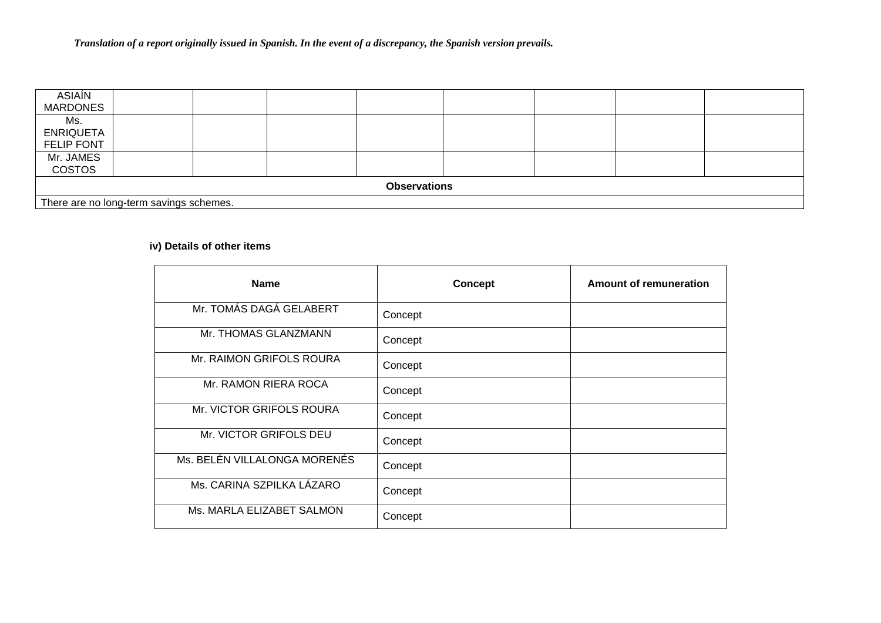| ASIAÍN<br><b>MARDONES</b>                    |  |  |  |  |  |  |  |                                         |  |  |  |  |  |  |  |  |  |  |
|----------------------------------------------|--|--|--|--|--|--|--|-----------------------------------------|--|--|--|--|--|--|--|--|--|--|
| Ms.<br><b>ENRIQUETA</b><br><b>FELIP FONT</b> |  |  |  |  |  |  |  |                                         |  |  |  |  |  |  |  |  |  |  |
| Mr. JAMES<br><b>COSTOS</b>                   |  |  |  |  |  |  |  |                                         |  |  |  |  |  |  |  |  |  |  |
| <b>Observations</b>                          |  |  |  |  |  |  |  |                                         |  |  |  |  |  |  |  |  |  |  |
|                                              |  |  |  |  |  |  |  | There are no long-term savings schemes. |  |  |  |  |  |  |  |  |  |  |

# **iv) Details of other items**

| <b>Name</b>                  | <b>Concept</b> | <b>Amount of remuneration</b> |
|------------------------------|----------------|-------------------------------|
| Mr. TOMÁS DAGÁ GELABERT      | Concept        |                               |
| Mr. THOMAS GLANZMANN         | Concept        |                               |
| Mr. RAIMON GRIFOLS ROURA     | Concept        |                               |
| Mr. RAMON RIERA ROCA         | Concept        |                               |
| Mr. VICTOR GRIFOLS ROURA     | Concept        |                               |
| Mr. VICTOR GRIFOLS DEU       | Concept        |                               |
| Ms. BELÉN VILLALONGA MORENÉS | Concept        |                               |
| Ms. CARINA SZPILKA LÁZARO    | Concept        |                               |
| Ms. MARLA ELIZABET SALMON    | Concept        |                               |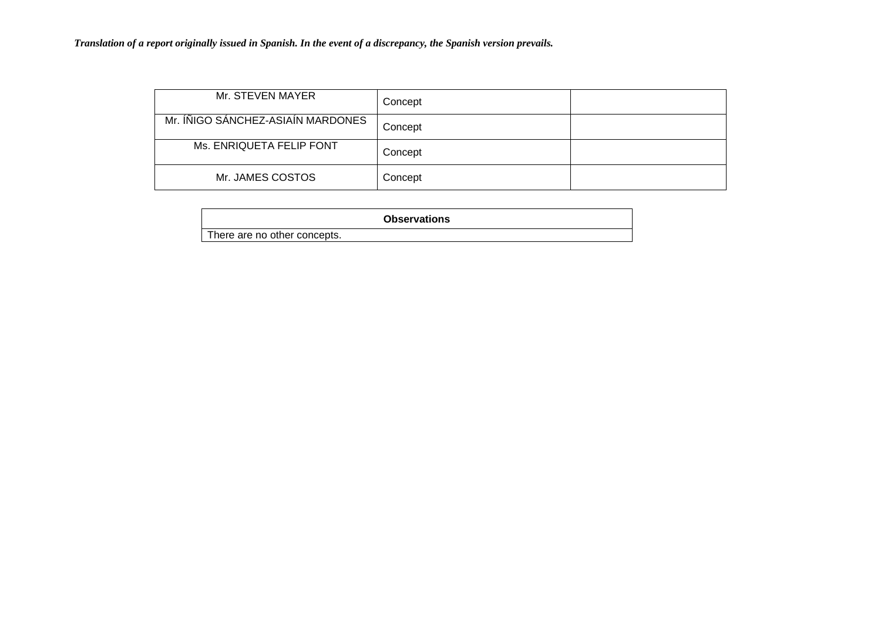| Mr. STEVEN MAYER                  | Concept |  |
|-----------------------------------|---------|--|
| Mr. ÍÑIGO SÁNCHEZ-ASIAÍN MARDONES | Concept |  |
| Ms. ENRIQUETA FELIP FONT          | Concept |  |
| Mr. JAMES COSTOS                  | Concept |  |

|                              | <b>Observations</b> |
|------------------------------|---------------------|
| There are no other concepts. |                     |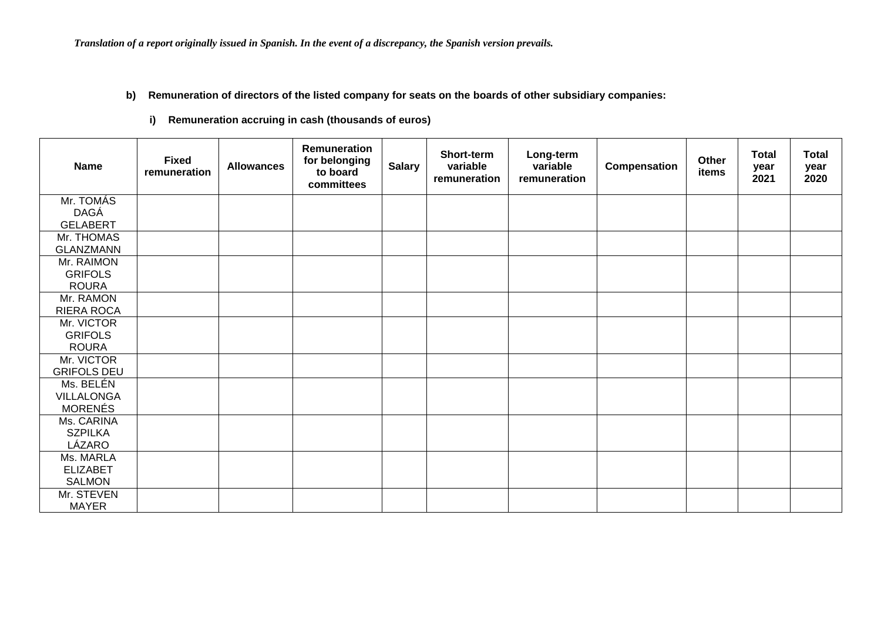### **b) Remuneration of directors of the listed company for seats on the boards of other subsidiary companies:**

**i) Remuneration accruing in cash (thousands of euros)**

| <b>Name</b>        | <b>Fixed</b><br>remuneration | <b>Allowances</b> | Remuneration<br>for belonging<br>to board<br>committees | <b>Salary</b> | <b>Short-term</b><br>variable<br>remuneration | Long-term<br>variable<br>remuneration | Compensation | Other<br>items | <b>Total</b><br>year<br>2021 | <b>Total</b><br>year<br>2020 |
|--------------------|------------------------------|-------------------|---------------------------------------------------------|---------------|-----------------------------------------------|---------------------------------------|--------------|----------------|------------------------------|------------------------------|
| Mr. TOMÁS          |                              |                   |                                                         |               |                                               |                                       |              |                |                              |                              |
| DAGÁ               |                              |                   |                                                         |               |                                               |                                       |              |                |                              |                              |
| <b>GELABERT</b>    |                              |                   |                                                         |               |                                               |                                       |              |                |                              |                              |
| Mr. THOMAS         |                              |                   |                                                         |               |                                               |                                       |              |                |                              |                              |
| <b>GLANZMANN</b>   |                              |                   |                                                         |               |                                               |                                       |              |                |                              |                              |
| Mr. RAIMON         |                              |                   |                                                         |               |                                               |                                       |              |                |                              |                              |
| <b>GRIFOLS</b>     |                              |                   |                                                         |               |                                               |                                       |              |                |                              |                              |
| <b>ROURA</b>       |                              |                   |                                                         |               |                                               |                                       |              |                |                              |                              |
| Mr. RAMON          |                              |                   |                                                         |               |                                               |                                       |              |                |                              |                              |
| <b>RIERA ROCA</b>  |                              |                   |                                                         |               |                                               |                                       |              |                |                              |                              |
| Mr. VICTOR         |                              |                   |                                                         |               |                                               |                                       |              |                |                              |                              |
| <b>GRIFOLS</b>     |                              |                   |                                                         |               |                                               |                                       |              |                |                              |                              |
| <b>ROURA</b>       |                              |                   |                                                         |               |                                               |                                       |              |                |                              |                              |
| Mr. VICTOR         |                              |                   |                                                         |               |                                               |                                       |              |                |                              |                              |
| <b>GRIFOLS DEU</b> |                              |                   |                                                         |               |                                               |                                       |              |                |                              |                              |
| Ms. BELÉN          |                              |                   |                                                         |               |                                               |                                       |              |                |                              |                              |
| VILLALONGA         |                              |                   |                                                         |               |                                               |                                       |              |                |                              |                              |
| <b>MORENÉS</b>     |                              |                   |                                                         |               |                                               |                                       |              |                |                              |                              |
| Ms. CARINA         |                              |                   |                                                         |               |                                               |                                       |              |                |                              |                              |
| <b>SZPILKA</b>     |                              |                   |                                                         |               |                                               |                                       |              |                |                              |                              |
| LÁZARO             |                              |                   |                                                         |               |                                               |                                       |              |                |                              |                              |
| Ms. MARLA          |                              |                   |                                                         |               |                                               |                                       |              |                |                              |                              |
| <b>ELIZABET</b>    |                              |                   |                                                         |               |                                               |                                       |              |                |                              |                              |
| <b>SALMON</b>      |                              |                   |                                                         |               |                                               |                                       |              |                |                              |                              |
| Mr. STEVEN         |                              |                   |                                                         |               |                                               |                                       |              |                |                              |                              |
| <b>MAYER</b>       |                              |                   |                                                         |               |                                               |                                       |              |                |                              |                              |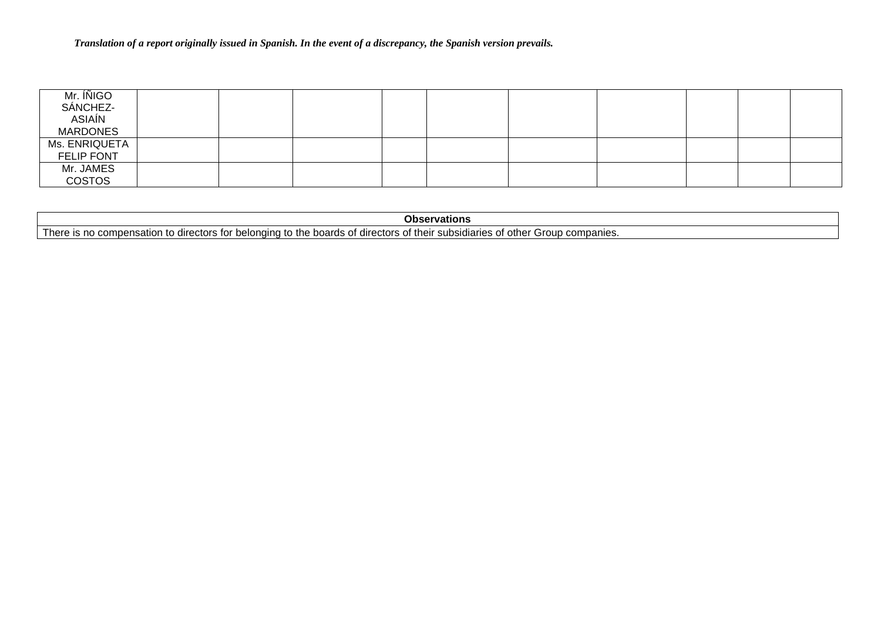| Mr. IÑIGO<br>SÁNCHEZ-<br>ASIAÍN |  |  |  |  |  |
|---------------------------------|--|--|--|--|--|
| <b>MARDONES</b>                 |  |  |  |  |  |
| Ms. ENRIQUETA                   |  |  |  |  |  |
| <b>FELIP FONT</b>               |  |  |  |  |  |
| Mr. JAMES                       |  |  |  |  |  |
| <b>COSTOS</b>                   |  |  |  |  |  |

| Obser<br>rvations                                                                                                                                                                                         |
|-----------------------------------------------------------------------------------------------------------------------------------------------------------------------------------------------------------|
| other<br>. .<br>' horo<br>directors<br>boards of<br>their<br>companies.<br>Group<br>subsidiaries of 1<br>no<br>) directors to<br>- Ine<br>. combensation to c<br>1U.<br>. neinir.<br>· ⊤ت⊐ا ات• ·<br>- 21 |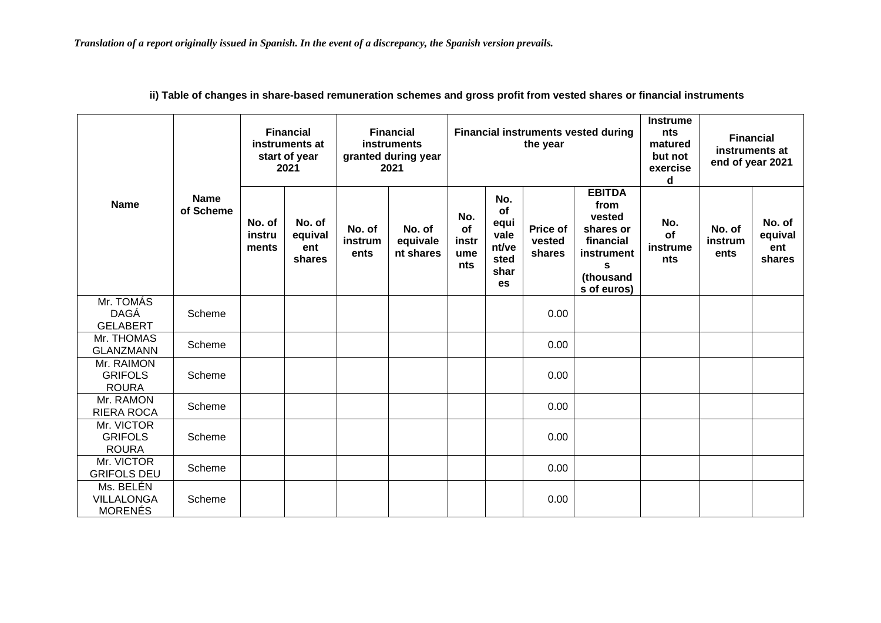|                                                  |                          |                           | <b>Financial</b><br>instruments at<br>start of year<br>2021 | <b>Financial</b><br>instruments<br>granted during year<br>2021 |                                 | <b>Financial instruments vested during</b><br>the year |                                                          |                              |                                                                                                          | <b>Instrume</b><br>nts<br>matured<br>but not<br>exercise<br>d | <b>Financial</b><br>instruments at<br>end of year 2021 |                                    |
|--------------------------------------------------|--------------------------|---------------------------|-------------------------------------------------------------|----------------------------------------------------------------|---------------------------------|--------------------------------------------------------|----------------------------------------------------------|------------------------------|----------------------------------------------------------------------------------------------------------|---------------------------------------------------------------|--------------------------------------------------------|------------------------------------|
| <b>Name</b>                                      | <b>Name</b><br>of Scheme | No. of<br>instru<br>ments | No. of<br>equival<br>ent<br>shares                          | No. of<br>instrum<br>ents                                      | No. of<br>equivale<br>nt shares | No.<br><b>of</b><br>instr<br>ume<br><b>nts</b>         | No.<br>of<br>equi<br>vale<br>nt/ve<br>sted<br>shar<br>es | Price of<br>vested<br>shares | <b>EBITDA</b><br>from<br>vested<br>shares or<br>financial<br>instrument<br>S<br>(thousand<br>s of euros) | No.<br>of<br>instrume<br>nts                                  | No. of<br>instrum<br>ents                              | No. of<br>equival<br>ent<br>shares |
| Mr. TOMÁS<br><b>DAGÁ</b><br><b>GELABERT</b>      | Scheme                   |                           |                                                             |                                                                |                                 |                                                        |                                                          | 0.00                         |                                                                                                          |                                                               |                                                        |                                    |
| Mr. THOMAS<br><b>GLANZMANN</b>                   | Scheme                   |                           |                                                             |                                                                |                                 |                                                        |                                                          | 0.00                         |                                                                                                          |                                                               |                                                        |                                    |
| Mr. RAIMON<br><b>GRIFOLS</b><br><b>ROURA</b>     | Scheme                   |                           |                                                             |                                                                |                                 |                                                        |                                                          | 0.00                         |                                                                                                          |                                                               |                                                        |                                    |
| Mr. RAMON<br><b>RIERA ROCA</b>                   | Scheme                   |                           |                                                             |                                                                |                                 |                                                        |                                                          | 0.00                         |                                                                                                          |                                                               |                                                        |                                    |
| Mr. VICTOR<br><b>GRIFOLS</b><br><b>ROURA</b>     | Scheme                   |                           |                                                             |                                                                |                                 |                                                        |                                                          | 0.00                         |                                                                                                          |                                                               |                                                        |                                    |
| Mr. VICTOR<br><b>GRIFOLS DEU</b>                 | Scheme                   |                           |                                                             |                                                                |                                 |                                                        |                                                          | 0.00                         |                                                                                                          |                                                               |                                                        |                                    |
| Ms. BELÉN<br><b>VILLALONGA</b><br><b>MORENÉS</b> | Scheme                   |                           |                                                             |                                                                |                                 |                                                        |                                                          | 0.00                         |                                                                                                          |                                                               |                                                        |                                    |

**ii) Table of changes in share-based remuneration schemes and gross profit from vested shares or financial instruments**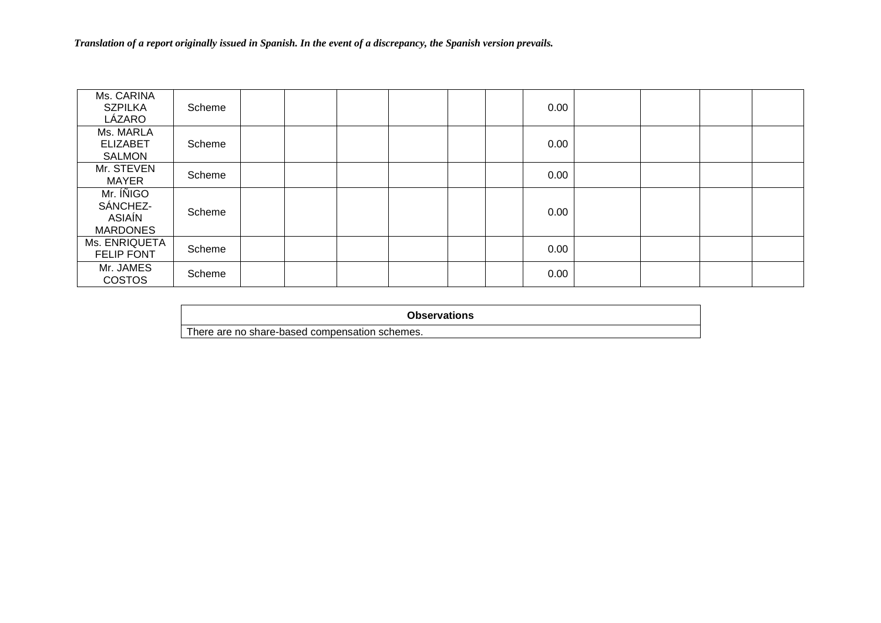| Ms. CARINA<br><b>SZPILKA</b><br>LÁZARO             | Scheme |  |  |  | 0.00 |  |  |
|----------------------------------------------------|--------|--|--|--|------|--|--|
| Ms. MARLA<br><b>ELIZABET</b><br><b>SALMON</b>      | Scheme |  |  |  | 0.00 |  |  |
| Mr. STEVEN<br><b>MAYER</b>                         | Scheme |  |  |  | 0.00 |  |  |
| Mr. ÍÑIGO<br>SÁNCHEZ-<br>ASIAÍN<br><b>MARDONES</b> | Scheme |  |  |  | 0.00 |  |  |
| Ms. ENRIQUETA<br><b>FELIP FONT</b>                 | Scheme |  |  |  | 0.00 |  |  |
| Mr. JAMES<br><b>COSTOS</b>                         | Scheme |  |  |  | 0.00 |  |  |

**Observations**

There are no share-based compensation schemes.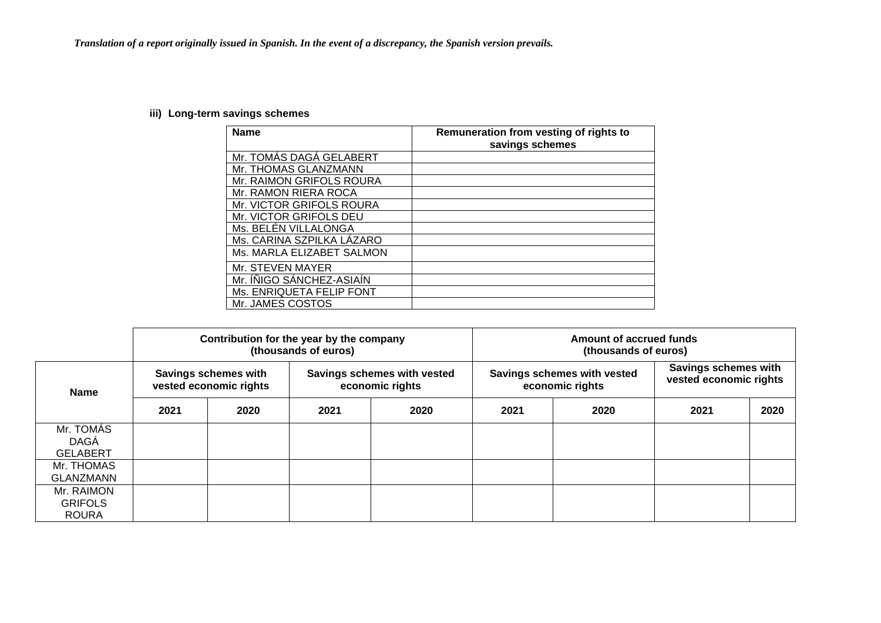# **iii) Long-term savings schemes**

| <b>Name</b>               | Remuneration from vesting of rights to<br>savings schemes |
|---------------------------|-----------------------------------------------------------|
| Mr. TOMÁS DAGÁ GELABERT   |                                                           |
| Mr. THOMAS GLANZMANN      |                                                           |
| Mr. RAIMON GRIFOLS ROURA  |                                                           |
| Mr. RAMON RIERA ROCA      |                                                           |
| Mr. VICTOR GRIFOLS ROURA  |                                                           |
| Mr. VICTOR GRIFOLS DEU    |                                                           |
| Ms. BELÉN VILLALONGA      |                                                           |
| Ms. CARINA SZPILKA LÁZARO |                                                           |
| Ms. MARLA ELIZABET SALMON |                                                           |
| Mr. STEVEN MAYER          |                                                           |
| Mr. INIGO SÁNCHEZ-ASIAÍN  |                                                           |
| Ms. ENRIQUETA FELIP FONT  |                                                           |
| Mr. JAMES COSTOS          |                                                           |

|                                              |      |                                                       | Contribution for the year by the company<br>(thousands of euros) | Amount of accrued funds<br>(thousands of euros) |      |                                                |                                                |      |  |  |
|----------------------------------------------|------|-------------------------------------------------------|------------------------------------------------------------------|-------------------------------------------------|------|------------------------------------------------|------------------------------------------------|------|--|--|
| <b>Name</b>                                  |      | <b>Savings schemes with</b><br>vested economic rights |                                                                  | Savings schemes with vested<br>economic rights  |      | Savings schemes with vested<br>economic rights | Savings schemes with<br>vested economic rights |      |  |  |
|                                              | 2021 | 2020                                                  | 2021                                                             | 2020                                            | 2021 | 2020                                           | 2021                                           | 2020 |  |  |
| Mr. TOMÁS<br>DAGÁ<br><b>GELABERT</b>         |      |                                                       |                                                                  |                                                 |      |                                                |                                                |      |  |  |
| Mr. THOMAS<br><b>GLANZMANN</b>               |      |                                                       |                                                                  |                                                 |      |                                                |                                                |      |  |  |
| Mr. RAIMON<br><b>GRIFOLS</b><br><b>ROURA</b> |      |                                                       |                                                                  |                                                 |      |                                                |                                                |      |  |  |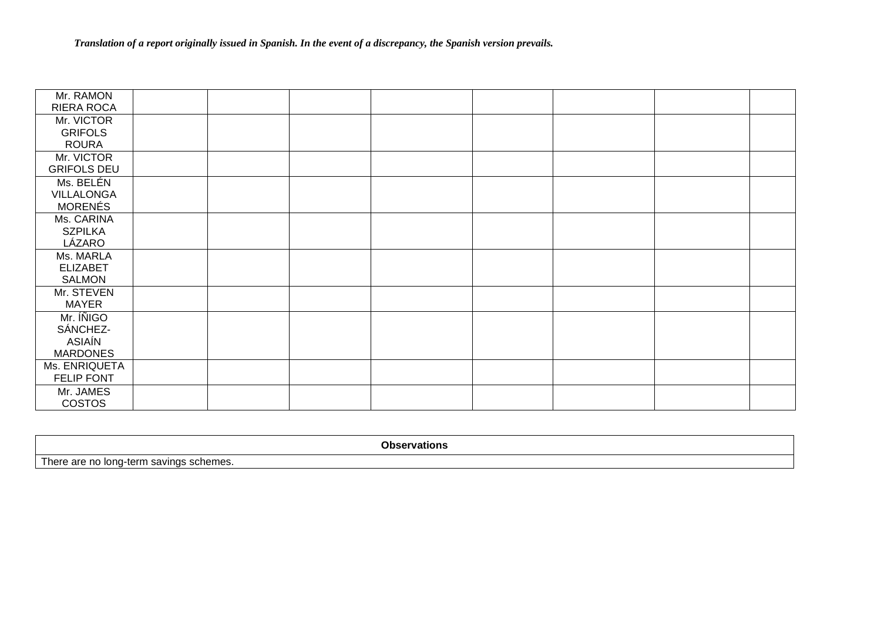| Mr. RAMON<br>RIERA ROCA |  |  |  |  |
|-------------------------|--|--|--|--|
|                         |  |  |  |  |
| Mr. VICTOR              |  |  |  |  |
| <b>GRIFOLS</b>          |  |  |  |  |
| <b>ROURA</b>            |  |  |  |  |
| Mr. VICTOR              |  |  |  |  |
| <b>GRIFOLS DEU</b>      |  |  |  |  |
| Ms. BELÉN               |  |  |  |  |
| VILLALONGA              |  |  |  |  |
| <b>MORENÉS</b>          |  |  |  |  |
| Ms. CARINA              |  |  |  |  |
| <b>SZPILKA</b>          |  |  |  |  |
| LÁZARO                  |  |  |  |  |
| Ms. MARLA               |  |  |  |  |
| <b>ELIZABET</b>         |  |  |  |  |
| <b>SALMON</b>           |  |  |  |  |
| Mr. STEVEN              |  |  |  |  |
| <b>MAYER</b>            |  |  |  |  |
| Mr. INIGO               |  |  |  |  |
| SÁNCHEZ-                |  |  |  |  |
| ASIAÍN                  |  |  |  |  |
| <b>MARDONES</b>         |  |  |  |  |
| Ms. ENRIQUETA           |  |  |  |  |
| FELIP FONT              |  |  |  |  |
| Mr. JAMES               |  |  |  |  |
| <b>COSTOS</b>           |  |  |  |  |

**Observations** There are no long-term savings schemes.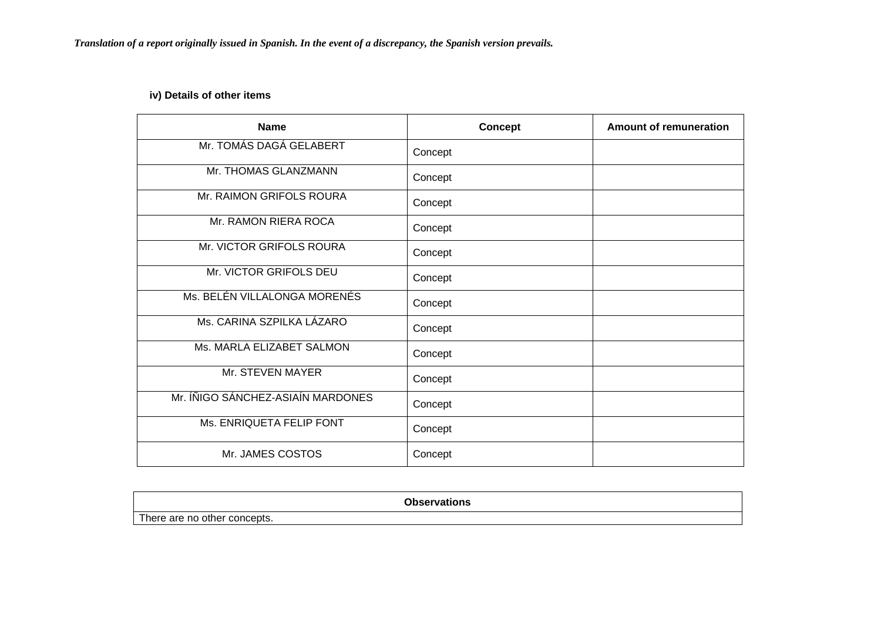# **iv) Details of other items**

| <b>Name</b>                       | <b>Concept</b> | <b>Amount of remuneration</b> |
|-----------------------------------|----------------|-------------------------------|
| Mr. TOMÁS DAGÁ GELABERT           | Concept        |                               |
| Mr. THOMAS GLANZMANN              | Concept        |                               |
| Mr. RAIMON GRIFOLS ROURA          | Concept        |                               |
| Mr. RAMON RIERA ROCA              | Concept        |                               |
| Mr. VICTOR GRIFOLS ROURA          | Concept        |                               |
| Mr. VICTOR GRIFOLS DEU            | Concept        |                               |
| Ms. BELÉN VILLALONGA MORENÉS      | Concept        |                               |
| Ms. CARINA SZPILKA LÁZARO         | Concept        |                               |
| Ms. MARLA ELIZABET SALMON         | Concept        |                               |
| Mr. STEVEN MAYER                  | Concept        |                               |
| Mr. ÍÑIGO SÁNCHEZ-ASIAÍN MARDONES | Concept        |                               |
| Ms. ENRIQUETA FELIP FONT          | Concept        |                               |
| Mr. JAMES COSTOS                  | Concept        |                               |

| <b>Oheoryo</b><br>-----<br>TIONS      |  |
|---------------------------------------|--|
| т.<br>here are,<br>no other concepts. |  |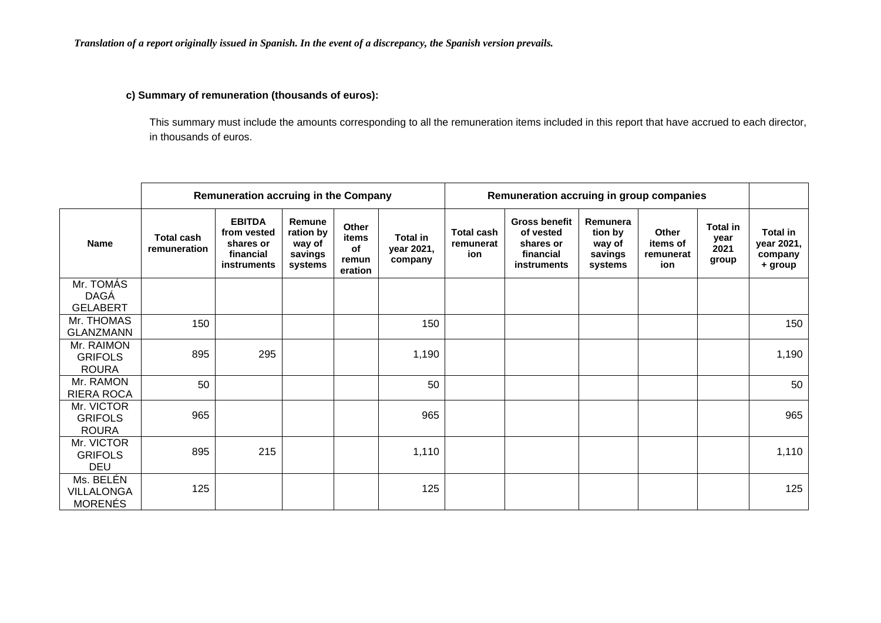### **c) Summary of remuneration (thousands of euros):**

This summary must include the amounts corresponding to all the remuneration items included in this report that have accrued to each director, in thousands of euros.

|                                                  |                                   | <b>Remuneration accruing in the Company</b>                                  |                                                     |                                          |                                          | Remuneration accruing in group companies |                                                                            |                                                     |                                              |                                          |                                                     |
|--------------------------------------------------|-----------------------------------|------------------------------------------------------------------------------|-----------------------------------------------------|------------------------------------------|------------------------------------------|------------------------------------------|----------------------------------------------------------------------------|-----------------------------------------------------|----------------------------------------------|------------------------------------------|-----------------------------------------------------|
| <b>Name</b>                                      | <b>Total cash</b><br>remuneration | <b>EBITDA</b><br>from vested<br>shares or<br>financial<br><b>instruments</b> | Remune<br>ration by<br>way of<br>savings<br>systems | Other<br>items<br>of<br>remun<br>eration | <b>Total in</b><br>year 2021,<br>company | <b>Total cash</b><br>remunerat<br>ion    | <b>Gross benefit</b><br>of vested<br>shares or<br>financial<br>instruments | Remunera<br>tion by<br>way of<br>savings<br>systems | <b>Other</b><br>items of<br>remunerat<br>ion | <b>Total in</b><br>year<br>2021<br>group | <b>Total in</b><br>year 2021,<br>company<br>+ group |
| Mr. TOMÁS                                        |                                   |                                                                              |                                                     |                                          |                                          |                                          |                                                                            |                                                     |                                              |                                          |                                                     |
| DAGÁ<br><b>GELABERT</b>                          |                                   |                                                                              |                                                     |                                          |                                          |                                          |                                                                            |                                                     |                                              |                                          |                                                     |
| Mr. THOMAS<br><b>GLANZMANN</b>                   | 150                               |                                                                              |                                                     |                                          | 150                                      |                                          |                                                                            |                                                     |                                              |                                          | 150                                                 |
| Mr. RAIMON<br><b>GRIFOLS</b><br><b>ROURA</b>     | 895                               | 295                                                                          |                                                     |                                          | 1,190                                    |                                          |                                                                            |                                                     |                                              |                                          | 1,190                                               |
| Mr. RAMON<br><b>RIERA ROCA</b>                   | 50                                |                                                                              |                                                     |                                          | 50                                       |                                          |                                                                            |                                                     |                                              |                                          | 50                                                  |
| Mr. VICTOR<br><b>GRIFOLS</b><br><b>ROURA</b>     | 965                               |                                                                              |                                                     |                                          | 965                                      |                                          |                                                                            |                                                     |                                              |                                          | 965                                                 |
| Mr. VICTOR<br><b>GRIFOLS</b><br><b>DEU</b>       | 895                               | 215                                                                          |                                                     |                                          | 1,110                                    |                                          |                                                                            |                                                     |                                              |                                          | 1,110                                               |
| Ms. BELÉN<br><b>VILLALONGA</b><br><b>MORENÉS</b> | 125                               |                                                                              |                                                     |                                          | 125                                      |                                          |                                                                            |                                                     |                                              |                                          | 125                                                 |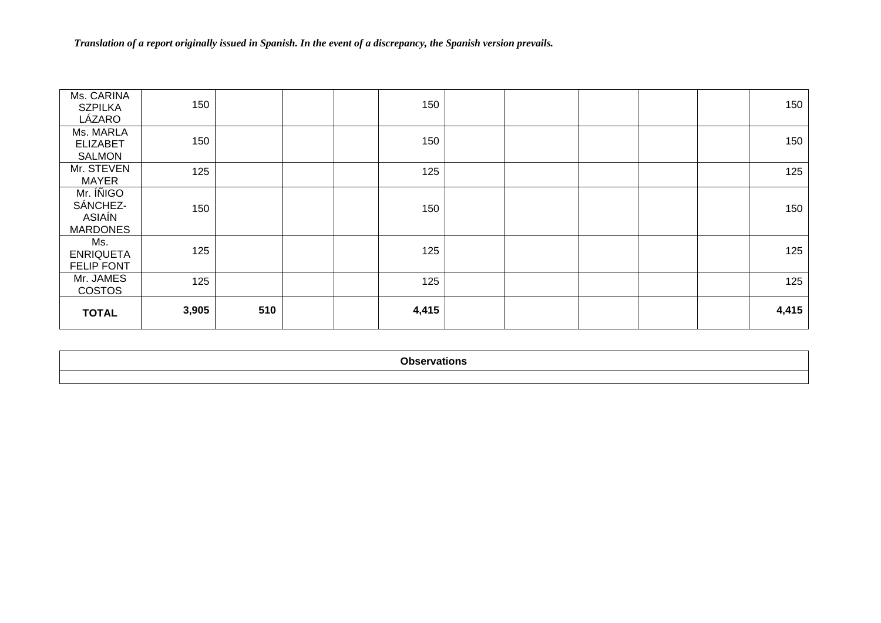| Ms. CARINA<br><b>SZPILKA</b><br>LÁZARO             | 150   |     |       | 150 |  |  | 150   |
|----------------------------------------------------|-------|-----|-------|-----|--|--|-------|
| Ms. MARLA<br><b>ELIZABET</b><br><b>SALMON</b>      | 150   |     |       | 150 |  |  | 150   |
| Mr. STEVEN<br><b>MAYER</b>                         | 125   |     |       | 125 |  |  | 125   |
| Mr. INIGO<br>SÁNCHEZ-<br>ASIAÍN<br><b>MARDONES</b> | 150   |     |       | 150 |  |  | 150   |
| Ms.<br><b>ENRIQUETA</b><br><b>FELIP FONT</b>       | 125   |     |       | 125 |  |  | 125   |
| Mr. JAMES<br><b>COSTOS</b>                         | 125   |     |       | 125 |  |  | 125   |
| <b>TOTAL</b>                                       | 3,905 | 510 | 4,415 |     |  |  | 4,415 |

**Observations**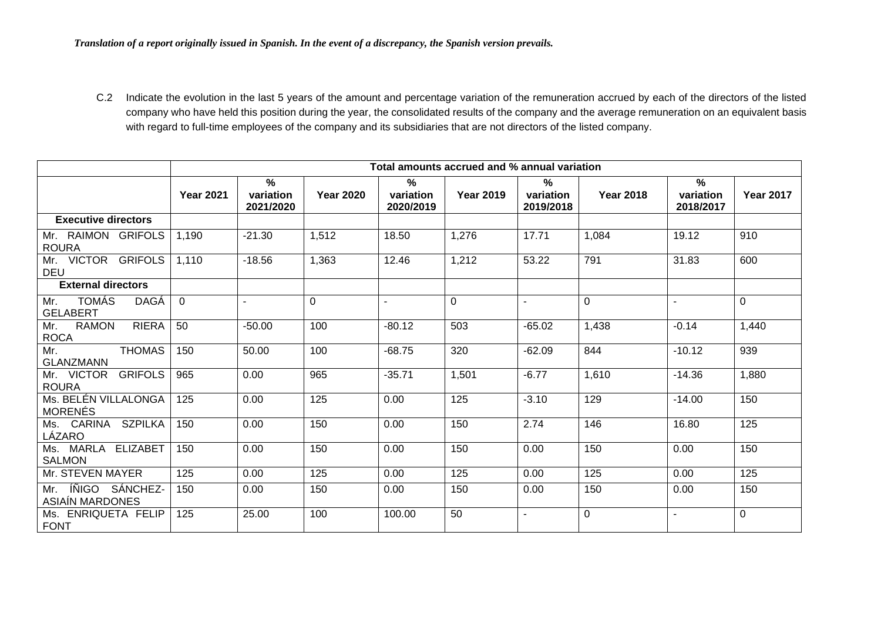C.2 Indicate the evolution in the last 5 years of the amount and percentage variation of the remuneration accrued by each of the directors of the listed company who have held this position during the year, the consolidated results of the company and the average remuneration on an equivalent basis with regard to full-time employees of the company and its subsidiaries that are not directors of the listed company.

|                                             | Total amounts accrued and % annual variation |                             |                  |                             |                  |                             |                  |                                |                  |  |
|---------------------------------------------|----------------------------------------------|-----------------------------|------------------|-----------------------------|------------------|-----------------------------|------------------|--------------------------------|------------------|--|
|                                             | <b>Year 2021</b>                             | %<br>variation<br>2021/2020 | <b>Year 2020</b> | %<br>variation<br>2020/2019 | <b>Year 2019</b> | %<br>variation<br>2019/2018 | <b>Year 2018</b> | $\%$<br>variation<br>2018/2017 | <b>Year 2017</b> |  |
| <b>Executive directors</b>                  |                                              |                             |                  |                             |                  |                             |                  |                                |                  |  |
| Mr. RAIMON GRIFOLS<br><b>ROURA</b>          | 1,190                                        | $-21.30$                    | 1,512            | 18.50                       | 1,276            | 17.71                       | 1,084            | 19.12                          | 910              |  |
| Mr. VICTOR GRIFOLS<br><b>DEU</b>            | 1,110                                        | $-18.56$                    | 1,363            | 12.46                       | 1,212            | 53.22                       | 791              | 31.83                          | 600              |  |
| <b>External directors</b>                   |                                              |                             |                  |                             |                  |                             |                  |                                |                  |  |
| Mr. TOMÁS<br><b>DAGÁ</b><br><b>GELABERT</b> | $\Omega$                                     | $\blacksquare$              | $\overline{0}$   | $\sim$                      | $\Omega$         | $\blacksquare$              | $\Omega$         | $\sim$                         | $\Omega$         |  |
| Mr. RAMON<br><b>RIERA</b><br><b>ROCA</b>    | 50                                           | $-50.00$                    | 100              | $-80.12$                    | 503              | $-65.02$                    | 1,438            | $-0.14$                        | 1,440            |  |
| <b>THOMAS</b><br>Mr.<br><b>GLANZMANN</b>    | 150                                          | 50.00                       | 100              | $-68.75$                    | 320              | $-62.09$                    | 844              | $-10.12$                       | 939              |  |
| Mr. VICTOR GRIFOLS<br><b>ROURA</b>          | 965                                          | 0.00                        | 965              | $-35.71$                    | 1,501            | $-6.77$                     | 1,610            | $-14.36$                       | 1,880            |  |
| Ms. BELÉN VILLALONGA<br><b>MORENÉS</b>      | 125                                          | 0.00                        | 125              | 0.00                        | 125              | $-3.10$                     | 129              | $-14.00$                       | 150              |  |
| Ms. CARINA SZPILKA<br>LÁZARO                | 150                                          | 0.00                        | 150              | 0.00                        | 150              | 2.74                        | 146              | 16.80                          | 125              |  |
| Ms. MARLA ELIZABET<br><b>SALMON</b>         | 150                                          | 0.00                        | 150              | 0.00                        | 150              | 0.00                        | 150              | 0.00                           | 150              |  |
| Mr. STEVEN MAYER                            | 125                                          | 0.00                        | 125              | 0.00                        | 125              | 0.00                        | 125              | 0.00                           | 125              |  |
| Mr. INIGO SÁNCHEZ-<br>ASIAIN MARDONES       | 150                                          | 0.00                        | 150              | 0.00                        | 150              | 0.00                        | 150              | 0.00                           | 150              |  |
| Ms. ENRIQUETA FELIP<br><b>FONT</b>          | 125                                          | 25.00                       | 100              | 100.00                      | 50               | $\blacksquare$              | $\Omega$         | $\overline{\phantom{a}}$       | $\Omega$         |  |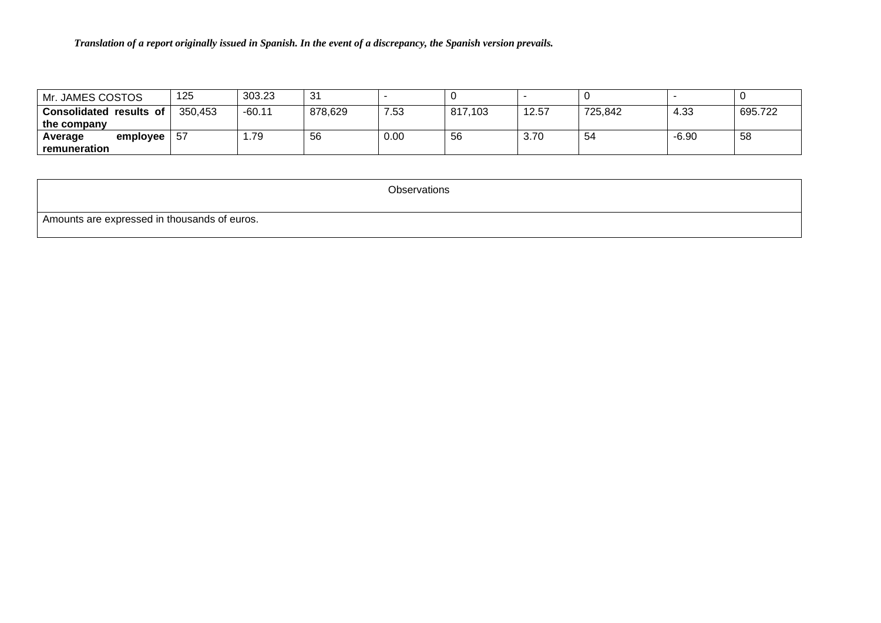| Mr. JAMES COSTOS                                 | 125     | 303.23   | 31      |      |         |       |         |         |         |
|--------------------------------------------------|---------|----------|---------|------|---------|-------|---------|---------|---------|
| <b>Consolidated</b><br>results of<br>the company | 350.453 | $-60.11$ | 878,629 | 7.53 | 817,103 | 12.57 | 725,842 | 4.33    | 695.722 |
| employee<br>Average<br>remuneration              | -57     | .79      | 56      | 0.00 | 56      | 3.70  | 54      | $-6.90$ | 58      |

**Observations** 

Amounts are expressed in thousands of euros.